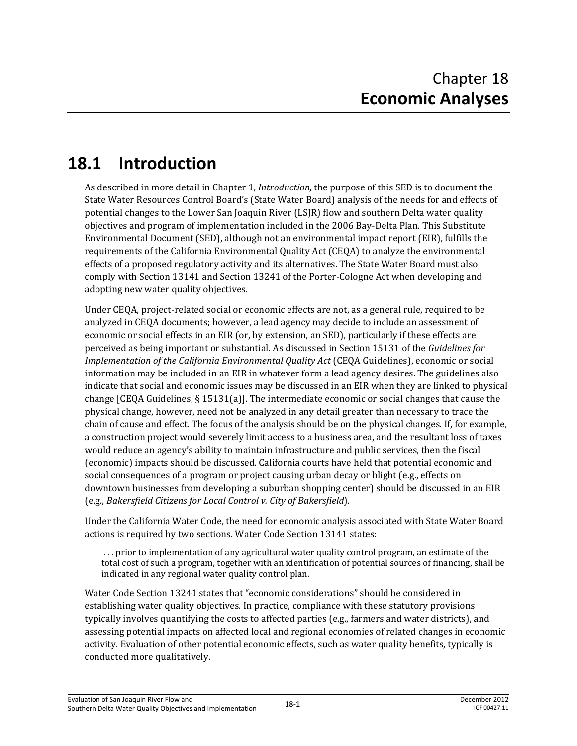# **18.1 Introduction**

As described in more detail in Chapter 1, *Introduction,* the purpose of this SED is to document the State Water Resources Control Board's (State Water Board) analysis of the needs for and effects of potential changes to the Lower San Joaquin River (LSJR) flow and southern Delta water quality objectives and program of implementation included in the 2006 Bay-Delta Plan. This Substitute Environmental Document (SED), although not an environmental impact report (EIR), fulfills the requirements of the California Environmental Quality Act (CEQA) to analyze the environmental effects of a proposed regulatory activity and its alternatives. The State Water Board must also comply with Section 13141 and Section 13241 of the Porter-Cologne Act when developing and adopting new water quality objectives.

Under CEQA, project-related social or economic effects are not, as a general rule, required to be analyzed in CEQA documents; however, a lead agency may decide to include an assessment of economic or social effects in an EIR (or, by extension, an SED), particularly if these effects are perceived as being important or substantial. As discussed in Section 15131 of the *Guidelines for Implementation of the California Environmental Quality Act* (CEQA Guidelines), economic or social information may be included in an EIR in whatever form a lead agency desires. The guidelines also indicate that social and economic issues may be discussed in an EIR when they are linked to physical change [CEQA Guidelines, § 15131(a)]. The intermediate economic or social changes that cause the physical change, however, need not be analyzed in any detail greater than necessary to trace the chain of cause and effect. The focus of the analysis should be on the physical changes. If, for example, a construction project would severely limit access to a business area, and the resultant loss of taxes would reduce an agency's ability to maintain infrastructure and public services, then the fiscal (economic) impacts should be discussed. California courts have held that potential economic and social consequences of a program or project causing urban decay or blight (e.g., effects on downtown businesses from developing a suburban shopping center) should be discussed in an EIR (e.g., *Bakersfield Citizens for Local Control v. City of Bakersfield*).

Under the California Water Code, the need for economic analysis associated with State Water Board actions is required by two sections. Water Code Section 13141 states:

 . . . prior to implementation of any agricultural water quality control program, an estimate of the total cost of such a program, together with an identification of potential sources of financing, shall be indicated in any regional water quality control plan.

Water Code Section 13241 states that "economic considerations" should be considered in establishing water quality objectives. In practice, compliance with these statutory provisions typically involves quantifying the costs to affected parties (e.g., farmers and water districts), and assessing potential impacts on affected local and regional economies of related changes in economic activity. Evaluation of other potential economic effects, such as water quality benefits, typically is conducted more qualitatively.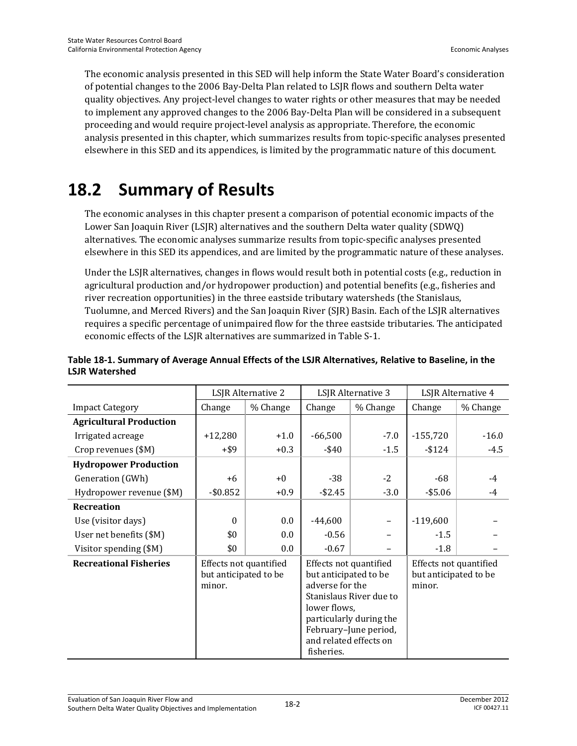The economic analysis presented in this SED will help inform the State Water Board's consideration of potential changes to the 2006 Bay-Delta Plan related to LSJR flows and southern Delta water quality objectives. Any project-level changes to water rights or other measures that may be needed to implement any approved changes to the 2006 Bay-Delta Plan will be considered in a subsequent proceeding and would require project-level analysis as appropriate. Therefore, the economic analysis presented in this chapter, which summarizes results from topic-specific analyses presented elsewhere in this SED and its appendices, is limited by the programmatic nature of this document.

# **18.2 Summary of Results**

The economic analyses in this chapter present a comparison of potential economic impacts of the Lower San Joaquin River (LSJR) alternatives and the southern Delta water quality (SDWQ) alternatives. The economic analyses summarize results from topic-specific analyses presented elsewhere in this SED its appendices, and are limited by the programmatic nature of these analyses.

Under the LSJR alternatives, changes in flows would result both in potential costs (e.g., reduction in agricultural production and/or hydropower production) and potential benefits (e.g., fisheries and river recreation opportunities) in the three eastside tributary watersheds (the Stanislaus, Tuolumne, and Merced Rivers) and the San Joaquin River (SJR) Basin. Each of the LSJR alternatives requires a specific percentage of unimpaired flow for the three eastside tributaries. The anticipated economic effects of the LSJR alternatives are summarized in Table S-1.

|                                | LSJR Alternative 2                                        |          | LSJR Alternative 3                                                                                                                                                                                        |          | LSJR Alternative 4                                        |          |
|--------------------------------|-----------------------------------------------------------|----------|-----------------------------------------------------------------------------------------------------------------------------------------------------------------------------------------------------------|----------|-----------------------------------------------------------|----------|
| <b>Impact Category</b>         | Change                                                    | % Change | Change                                                                                                                                                                                                    | % Change | Change                                                    | % Change |
| <b>Agricultural Production</b> |                                                           |          |                                                                                                                                                                                                           |          |                                                           |          |
| Irrigated acreage              | $+12,280$                                                 | $+1.0$   | $-66,500$                                                                                                                                                                                                 | $-7.0$   | $-155,720$                                                | $-16.0$  |
| Crop revenues (\$M)            | $+$ \$9                                                   | $+0.3$   | -\$40                                                                                                                                                                                                     | $-1.5$   | $-$ \$124                                                 | $-4.5$   |
| <b>Hydropower Production</b>   |                                                           |          |                                                                                                                                                                                                           |          |                                                           |          |
| Generation (GWh)               | +6                                                        | $+0$     | $-38$                                                                                                                                                                                                     | $-2$     | $-68$                                                     | $-4$     |
| Hydropower revenue (\$M)       | $-$0.852$                                                 | $+0.9$   | $-$2.45$                                                                                                                                                                                                  | $-3.0$   | $-$ \$5.06                                                | $-4$     |
| Recreation                     |                                                           |          |                                                                                                                                                                                                           |          |                                                           |          |
| Use (visitor days)             | $\Omega$                                                  | 0.0      | $-44,600$                                                                                                                                                                                                 | -        | $-119,600$                                                |          |
| User net benefits (\$M)        | \$0                                                       | 0.0      | $-0.56$                                                                                                                                                                                                   |          | $-1.5$                                                    |          |
| Visitor spending (\$M)         | \$0                                                       | 0.0      | $-0.67$                                                                                                                                                                                                   |          | $-1.8$                                                    |          |
| <b>Recreational Fisheries</b>  | Effects not quantified<br>but anticipated to be<br>minor. |          | Effects not quantified<br>but anticipated to be<br>adverse for the<br>Stanislaus River due to<br>lower flows,<br>particularly during the<br>February-June period,<br>and related effects on<br>fisheries. |          | Effects not quantified<br>but anticipated to be<br>minor. |          |

#### **Table 18-1. Summary of Average Annual Effects of the LSJR Alternatives, Relative to Baseline, in the LSJR Watershed**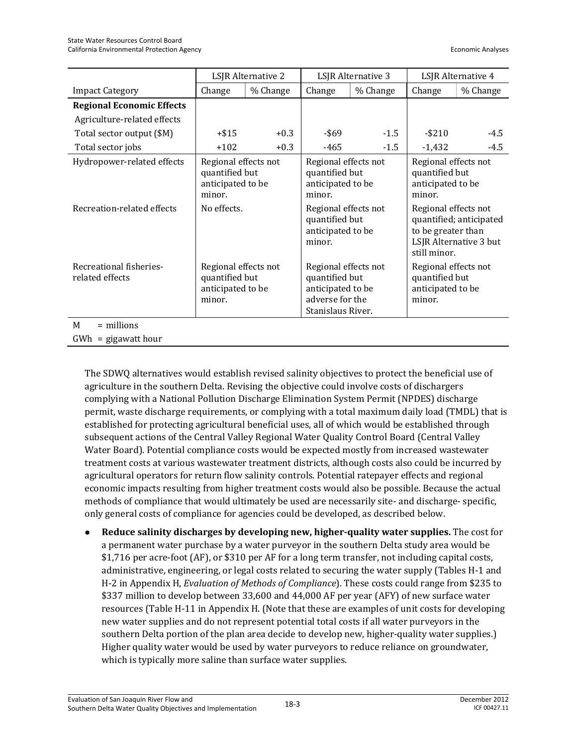|                                            | LSJR Alternative 2                                                    |          | LSJR Alternative 3                                                                                  |          | LSJR Alternative 4                                                    |                                                   |
|--------------------------------------------|-----------------------------------------------------------------------|----------|-----------------------------------------------------------------------------------------------------|----------|-----------------------------------------------------------------------|---------------------------------------------------|
| <b>Impact Category</b>                     | Change                                                                | % Change | Change                                                                                              | % Change | Change                                                                | % Change                                          |
| <b>Regional Economic Effects</b>           |                                                                       |          |                                                                                                     |          |                                                                       |                                                   |
| Agriculture-related effects                |                                                                       |          |                                                                                                     |          |                                                                       |                                                   |
| Total sector output (\$M)                  | $+$ \$15                                                              | $+0.3$   | -\$69                                                                                               | $-1.5$   | $-$ \$210                                                             | $-4.5$                                            |
| Total sector jobs                          | $+102$                                                                | $+0.3$   | $-465$                                                                                              | $-1.5$   | $-1,432$                                                              | $-4.5$                                            |
| Hydropower-related effects                 | Regional effects not<br>quantified but<br>anticipated to be<br>minor. |          | Regional effects not<br>quantified but<br>anticipated to be<br>minor.                               |          | Regional effects not<br>quantified but<br>anticipated to be<br>minor. |                                                   |
| Recreation-related effects                 | No effects.                                                           |          | Regional effects not<br>quantified but<br>anticipated to be<br>minor.                               |          | Regional effects not<br>to be greater than<br>still minor.            | quantified; anticipated<br>LSJR Alternative 3 but |
| Recreational fisheries-<br>related effects | Regional effects not<br>quantified but<br>anticipated to be<br>minor. |          | Regional effects not<br>quantified but<br>anticipated to be<br>adverse for the<br>Stanislaus River. |          | Regional effects not<br>quantified but<br>anticipated to be<br>minor. |                                                   |
| $=$ millions<br>M                          |                                                                       |          |                                                                                                     |          |                                                                       |                                                   |
| $GWh = gigawatt hour$                      |                                                                       |          |                                                                                                     |          |                                                                       |                                                   |

The SDWQ alternatives would establish revised salinity objectives to protect the beneficial use of agriculture in the southern Delta. Revising the objective could involve costs of dischargers complying with a National Pollution Discharge Elimination System Permit (NPDES) discharge permit, waste discharge requirements, or complying with a total maximum daily load (TMDL) that is established for protecting agricultural beneficial uses, all of which would be established through subsequent actions of the Central Valley Regional Water Quality Control Board (Central Valley Water Board). Potential compliance costs would be expected mostly from increased wastewater treatment costs at various wastewater treatment districts, although costs also could be incurred by agricultural operators for return flow salinity controls. Potential ratepayer effects and regional economic impacts resulting from higher treatment costs would also be possible. Because the actual methods of compliance that would ultimately be used are necessarily site- and discharge- specific, only general costs of compliance for agencies could be developed, as described below.

 **Reduce salinity discharges by developing new, higher-quality water supplies.** The cost for a permanent water purchase by a water purveyor in the southern Delta study area would be \$1,716 per acre-foot (AF), or \$310 per AF for a long term transfer, not including capital costs, administrative, engineering, or legal costs related to securing the water supply (Tables H-1 and H-2 in Appendix H, *Evaluation of Methods of Compliance*). These costs could range from \$235 to \$337 million to develop between 33,600 and 44,000 AF per year (AFY) of new surface water resources (Table H-11 in Appendix H. (Note that these are examples of unit costs for developing new water supplies and do not represent potential total costs if all water purveyors in the southern Delta portion of the plan area decide to develop new, higher-quality water supplies.) Higher quality water would be used by water purveyors to reduce reliance on groundwater, which is typically more saline than surface water supplies.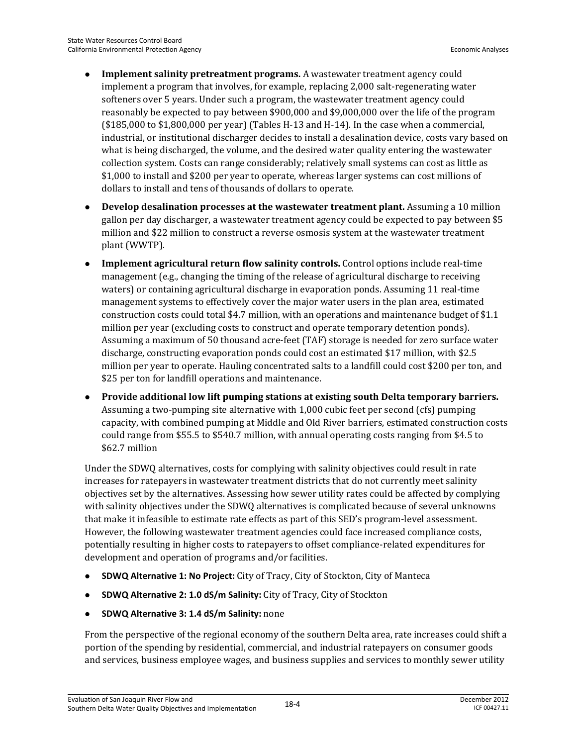- **Implement salinity pretreatment programs.** A wastewater treatment agency could implement a program that involves, for example, replacing 2,000 salt-regenerating water softeners over 5 years. Under such a program, the wastewater treatment agency could reasonably be expected to pay between \$900,000 and \$9,000,000 over the life of the program  $($185,000$  to  $$1,800,000$  per year) (Tables H-13 and H-14). In the case when a commercial, industrial, or institutional discharger decides to install a desalination device, costs vary based on what is being discharged, the volume, and the desired water quality entering the wastewater collection system. Costs can range considerably; relatively small systems can cost as little as \$1,000 to install and \$200 per year to operate, whereas larger systems can cost millions of dollars to install and tens of thousands of dollars to operate.
- **Develop desalination processes at the wastewater treatment plant.** Assuming a 10 million gallon per day discharger, a wastewater treatment agency could be expected to pay between \$5 million and \$22 million to construct a reverse osmosis system at the wastewater treatment plant (WWTP).
- **Implement agricultural return flow salinity controls.** Control options include real-time management (e.g., changing the timing of the release of agricultural discharge to receiving waters) or containing agricultural discharge in evaporation ponds. Assuming 11 real-time management systems to effectively cover the major water users in the plan area, estimated construction costs could total \$4.7 million, with an operations and maintenance budget of \$1.1 million per year (excluding costs to construct and operate temporary detention ponds). Assuming a maximum of 50 thousand acre-feet (TAF) storage is needed for zero surface water discharge, constructing evaporation ponds could cost an estimated \$17 million, with \$2.5 million per year to operate. Hauling concentrated salts to a landfill could cost \$200 per ton, and \$25 per ton for landfill operations and maintenance.
- **Provide additional low lift pumping stations at existing south Delta temporary barriers.**  Assuming a two-pumping site alternative with 1,000 cubic feet per second (cfs) pumping capacity, with combined pumping at Middle and Old River barriers, estimated construction costs could range from \$55.5 to \$540.7 million, with annual operating costs ranging from \$4.5 to \$62.7 million

Under the SDWQ alternatives, costs for complying with salinity objectives could result in rate increases for ratepayers in wastewater treatment districts that do not currently meet salinity objectives set by the alternatives. Assessing how sewer utility rates could be affected by complying with salinity objectives under the SDWQ alternatives is complicated because of several unknowns that make it infeasible to estimate rate effects as part of this SED's program-level assessment. However, the following wastewater treatment agencies could face increased compliance costs, potentially resulting in higher costs to ratepayers to offset compliance-related expenditures for development and operation of programs and/or facilities.

- **SDWQ Alternative 1: No Project:** City of Tracy, City of Stockton, City of Manteca
- **SDWQ Alternative 2: 1.0 dS/m Salinity:** City of Tracy, City of Stockton
- **SDWQ Alternative 3: 1.4 dS/m Salinity:** none

From the perspective of the regional economy of the southern Delta area, rate increases could shift a portion of the spending by residential, commercial, and industrial ratepayers on consumer goods and services, business employee wages, and business supplies and services to monthly sewer utility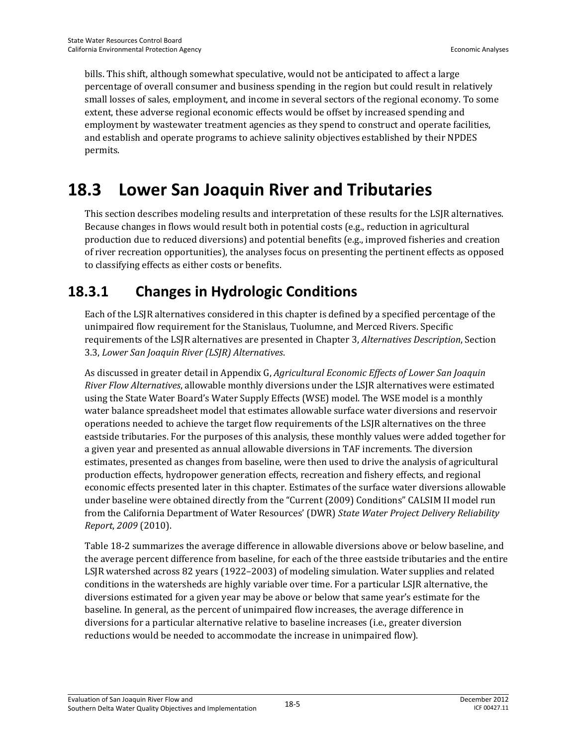bills. This shift, although somewhat speculative, would not be anticipated to affect a large percentage of overall consumer and business spending in the region but could result in relatively small losses of sales, employment, and income in several sectors of the regional economy. To some extent, these adverse regional economic effects would be offset by increased spending and employment by wastewater treatment agencies as they spend to construct and operate facilities, and establish and operate programs to achieve salinity objectives established by their NPDES permits.

# **18.3 Lower San Joaquin River and Tributaries**

This section describes modeling results and interpretation of these results for the LSJR alternatives. Because changes in flows would result both in potential costs (e.g., reduction in agricultural production due to reduced diversions) and potential benefits (e.g., improved fisheries and creation of river recreation opportunities), the analyses focus on presenting the pertinent effects as opposed to classifying effects as either costs or benefits.

# **18.3.1 Changes in Hydrologic Conditions**

Each of the LSJR alternatives considered in this chapter is defined by a specified percentage of the unimpaired flow requirement for the Stanislaus, Tuolumne, and Merced Rivers. Specific requirements of the LSJR alternatives are presented in Chapter 3, *Alternatives Description*, Section 3.3, *Lower San Joaquin River (LSJR) Alternatives*.

As discussed in greater detail in Appendix G, *Agricultural Economic Effects of Lower San Joaquin River Flow Alternatives*, allowable monthly diversions under the LSJR alternatives were estimated using the State Water Board's Water Supply Effects (WSE) model. The WSE model is a monthly water balance spreadsheet model that estimates allowable surface water diversions and reservoir operations needed to achieve the target flow requirements of the LSJR alternatives on the three eastside tributaries. For the purposes of this analysis, these monthly values were added together for a given year and presented as annual allowable diversions in TAF increments. The diversion estimates, presented as changes from baseline, were then used to drive the analysis of agricultural production effects, hydropower generation effects, recreation and fishery effects, and regional economic effects presented later in this chapter. Estimates of the surface water diversions allowable under baseline were obtained directly from the "Current (2009) Conditions" CALSIM II model run from the California Department of Water Resources' (DWR) *State Water Project Delivery Reliability Report*, *2009* (2010).

Table 18-2 summarizes the average difference in allowable diversions above or below baseline, and the average percent difference from baseline, for each of the three eastside tributaries and the entire LSJR watershed across 82 years (1922–2003) of modeling simulation. Water supplies and related conditions in the watersheds are highly variable over time. For a particular LSJR alternative, the diversions estimated for a given year may be above or below that same year's estimate for the baseline. In general, as the percent of unimpaired flow increases, the average difference in diversions for a particular alternative relative to baseline increases (i.e., greater diversion reductions would be needed to accommodate the increase in unimpaired flow).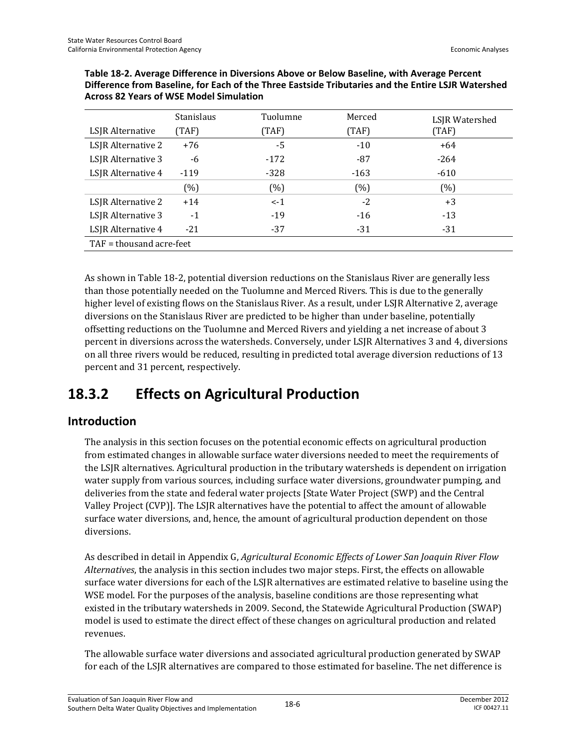|                          | <b>Stanislaus</b> | Tuolumne | Merced | LSJR Watershed |  |  |
|--------------------------|-------------------|----------|--------|----------------|--|--|
| LSJR Alternative         | (TAF)             | (TAF)    | (TAF)  | (TAF)          |  |  |
| LSJR Alternative 2       | $+76$             | -5       | $-10$  | $+64$          |  |  |
| LSJR Alternative 3       | -6                | $-172$   | $-87$  | $-264$         |  |  |
| LSJR Alternative 4       | $-119$            | $-328$   | $-163$ | $-610$         |  |  |
|                          | (%)               | (%)      | (%)    | (%)            |  |  |
| LSJR Alternative 2       | $+14$             | $\lt$ -1 | $-2$   | $+3$           |  |  |
| LSJR Alternative 3       | $-1$              | $-19$    | $-16$  | $-13$          |  |  |
| LSJR Alternative 4       | $-21$             | $-37$    | $-31$  | $-31$          |  |  |
| TAF = thousand acre-feet |                   |          |        |                |  |  |

**Table 18-2. Average Difference in Diversions Above or Below Baseline, with Average Percent Difference from Baseline, for Each of the Three Eastside Tributaries and the Entire LSJR Watershed Across 82 Years of WSE Model Simulation** 

As shown in Table 18-2, potential diversion reductions on the Stanislaus River are generally less than those potentially needed on the Tuolumne and Merced Rivers. This is due to the generally higher level of existing flows on the Stanislaus River. As a result, under LSJR Alternative 2, average diversions on the Stanislaus River are predicted to be higher than under baseline, potentially offsetting reductions on the Tuolumne and Merced Rivers and yielding a net increase of about 3 percent in diversions across the watersheds. Conversely, under LSJR Alternatives 3 and 4, diversions on all three rivers would be reduced, resulting in predicted total average diversion reductions of 13 percent and 31 percent, respectively.

## **18.3.2 Effects on Agricultural Production**

## **Introduction**

The analysis in this section focuses on the potential economic effects on agricultural production from estimated changes in allowable surface water diversions needed to meet the requirements of the LSJR alternatives. Agricultural production in the tributary watersheds is dependent on irrigation water supply from various sources, including surface water diversions, groundwater pumping, and deliveries from the state and federal water projects [State Water Project (SWP) and the Central Valley Project (CVP)]. The LSJR alternatives have the potential to affect the amount of allowable surface water diversions, and, hence, the amount of agricultural production dependent on those diversions.

As described in detail in Appendix G, *Agricultural Economic Effects of Lower San Joaquin River Flow Alternatives*, the analysis in this section includes two major steps. First, the effects on allowable surface water diversions for each of the LSJR alternatives are estimated relative to baseline using the WSE model. For the purposes of the analysis, baseline conditions are those representing what existed in the tributary watersheds in 2009. Second, the Statewide Agricultural Production (SWAP) model is used to estimate the direct effect of these changes on agricultural production and related revenues.

The allowable surface water diversions and associated agricultural production generated by SWAP for each of the LSJR alternatives are compared to those estimated for baseline. The net difference is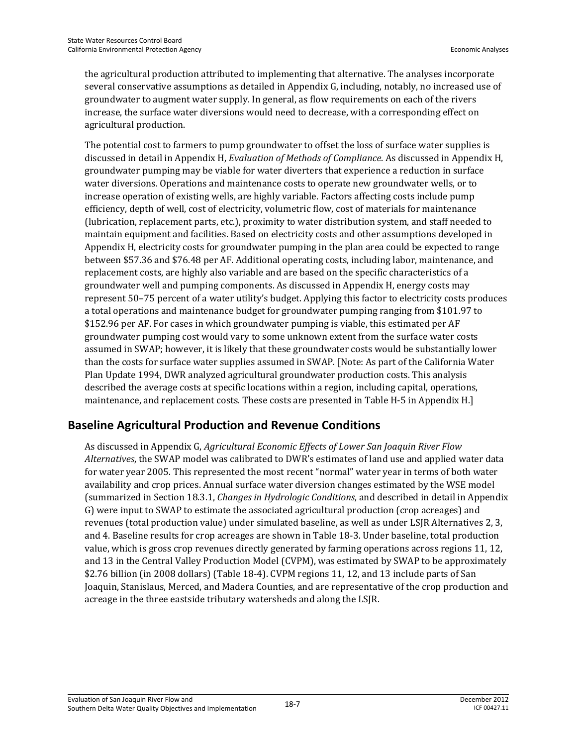the agricultural production attributed to implementing that alternative. The analyses incorporate several conservative assumptions as detailed in Appendix G, including, notably, no increased use of groundwater to augment water supply. In general, as flow requirements on each of the rivers increase, the surface water diversions would need to decrease, with a corresponding effect on agricultural production.

The potential cost to farmers to pump groundwater to offset the loss of surface water supplies is discussed in detail in Appendix H, *Evaluation of Methods of Compliance*. As discussed in Appendix H, groundwater pumping may be viable for water diverters that experience a reduction in surface water diversions. Operations and maintenance costs to operate new groundwater wells, or to increase operation of existing wells, are highly variable. Factors affecting costs include pump efficiency, depth of well, cost of electricity, volumetric flow, cost of materials for maintenance (lubrication, replacement parts, etc.), proximity to water distribution system, and staff needed to maintain equipment and facilities. Based on electricity costs and other assumptions developed in Appendix H, electricity costs for groundwater pumping in the plan area could be expected to range between \$57.36 and \$76.48 per AF. Additional operating costs, including labor, maintenance, and replacement costs, are highly also variable and are based on the specific characteristics of a groundwater well and pumping components. As discussed in Appendix H, energy costs may represent 50–75 percent of a water utility's budget. Applying this factor to electricity costs produces a total operations and maintenance budget for groundwater pumping ranging from \$101.97 to \$152.96 per AF. For cases in which groundwater pumping is viable, this estimated per AF groundwater pumping cost would vary to some unknown extent from the surface water costs assumed in SWAP; however, it is likely that these groundwater costs would be substantially lower than the costs for surface water supplies assumed in SWAP. [Note: As part of the California Water Plan Update 1994, DWR analyzed agricultural groundwater production costs. This analysis described the average costs at specific locations within a region, including capital, operations, maintenance, and replacement costs. These costs are presented in Table H-5 in Appendix H.]

#### **Baseline Agricultural Production and Revenue Conditions**

As discussed in Appendix G, *Agricultural Economic Effects of Lower San Joaquin River Flow Alternatives*, the SWAP model was calibrated to DWR's estimates of land use and applied water data for water year 2005. This represented the most recent "normal" water year in terms of both water availability and crop prices. Annual surface water diversion changes estimated by the WSE model (summarized in Section 18.3.1, *Changes in Hydrologic Conditions*, and described in detail in Appendix G) were input to SWAP to estimate the associated agricultural production (crop acreages) and revenues (total production value) under simulated baseline, as well as under LSJR Alternatives 2, 3, and 4. Baseline results for crop acreages are shown in Table 18-3. Under baseline, total production value, which is gross crop revenues directly generated by farming operations across regions 11, 12, and 13 in the Central Valley Production Model (CVPM), was estimated by SWAP to be approximately \$2.76 billion (in 2008 dollars) (Table 18-4). CVPM regions 11, 12, and 13 include parts of San Joaquin, Stanislaus, Merced, and Madera Counties, and are representative of the crop production and acreage in the three eastside tributary watersheds and along the LSJR.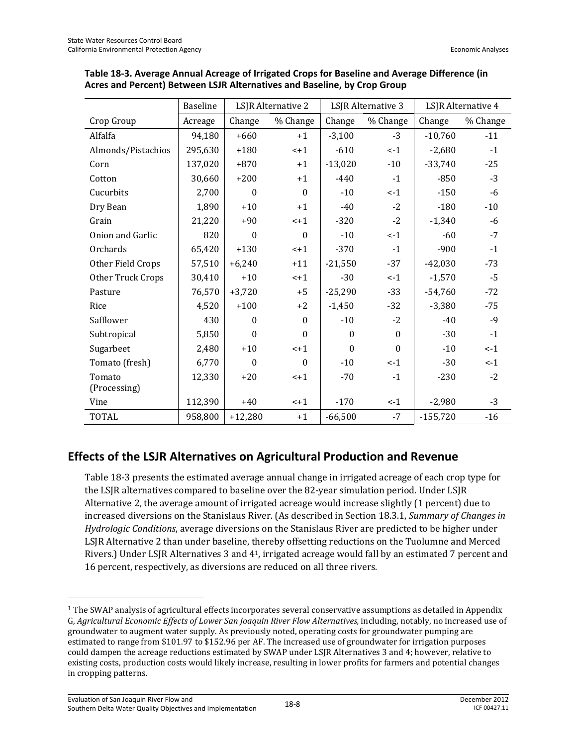|                    | Baseline | LSJR Alternative 2 |                  | LSJR Alternative 3 |                  | LSJR Alternative 4 |          |
|--------------------|----------|--------------------|------------------|--------------------|------------------|--------------------|----------|
| Crop Group         | Acreage  | Change             | % Change         | Change             | % Change         | Change             | % Change |
| Alfalfa            | 94,180   | $+660$             | $+1$             | $-3,100$           | $-3$             | $-10,760$          | $-11$    |
| Almonds/Pistachios | 295,630  | $+180$             | $-+1$            | $-610$             | $-1$             | $-2,680$           | $-1$     |
| Corn               | 137,020  | $+870$             | $+1$             | $-13,020$          | $-10$            | $-33,740$          | $-25$    |
| Cotton             | 30,660   | $+200$             | $+1$             | $-440$             | $-1$             | $-850$             | $-3$     |
| Cucurbits          | 2,700    | $\boldsymbol{0}$   | $\boldsymbol{0}$ | $-10$              | $\leftarrow$ 1   | $-150$             | $-6$     |
| Dry Bean           | 1,890    | $+10$              | $+1$             | $-40$              | $-2$             | $-180$             | $-10$    |
| Grain              | 21,220   | $+90$              | $-+1$            | $-320$             | $-2$             | $-1,340$           | $-6$     |
| Onion and Garlic   | 820      | $\mathbf{0}$       | $\mathbf{0}$     | $-10$              | $\lt$ -1         | $-60$              | $-7$     |
| Orchards           | 65,420   | $+130$             | $<+1$            | $-370$             | $-1$             | $-900$             | $-1$     |
| Other Field Crops  | 57,510   | $+6,240$           | $+11$            | $-21,550$          | $-37$            | $-42,030$          | $-73$    |
| Other Truck Crops  | 30,410   | $+10$              | $< +1$           | $-30$              | $\leftarrow$ 1   | $-1,570$           | $-5$     |
| Pasture            | 76,570   | $+3,720$           | $+5$             | $-25,290$          | $-33$            | $-54,760$          | $-72$    |
| Rice               | 4,520    | $+100$             | $+2$             | $-1,450$           | $-32$            | $-3,380$           | $-75$    |
| Safflower          | 430      | $\Omega$           | $\boldsymbol{0}$ | $-10$              | $-2$             | $-40$              | $-9$     |
| Subtropical        | 5,850    | $\mathbf{0}$       | $\boldsymbol{0}$ | $\boldsymbol{0}$   | $\theta$         | $-30$              | $-1$     |
| Sugarbeet          | 2,480    | $+10$              | $-+1$            | $\mathbf{0}$       | $\boldsymbol{0}$ | $-10$              | $-1$     |
| Tomato (fresh)     | 6,770    | $\boldsymbol{0}$   | $\boldsymbol{0}$ | $-10$              | $\leftarrow$ 1   | $-30$              | $\lt$ -1 |
| Tomato             | 12,330   | $+20$              | $-+1$            | $-70$              | $-1$             | $-230$             | $-2$     |
| (Processing)       |          |                    |                  |                    |                  |                    |          |
| Vine               | 112,390  | $+40$              | $-+1$            | $-170$             | $\lt$ -1         | $-2,980$           | $-3$     |
| <b>TOTAL</b>       | 958,800  | $+12,280$          | $+1$             | $-66,500$          | $-7$             | $-155,720$         | $-16$    |

#### **Table 18-3. Average Annual Acreage of Irrigated Crops for Baseline and Average Difference (in Acres and Percent) Between LSJR Alternatives and Baseline, by Crop Group**

## **Effects of the LSJR Alternatives on Agricultural Production and Revenue**

Table 18-3 presents the estimated average annual change in irrigated acreage of each crop type for the LSJR alternatives compared to baseline over the 82-year simulation period. Under LSJR Alternative 2, the average amount of irrigated acreage would increase slightly (1 percent) due to increased diversions on the Stanislaus River. (As described in Section 18.3.1, *Summary of Changes in Hydrologic Conditions*, average diversions on the Stanislaus River are predicted to be higher under LSJR Alternative 2 than under baseline, thereby offsetting reductions on the Tuolumne and Merced Rivers.) Under LSJR Alternatives 3 and 41, irrigated acreage would fall by an estimated 7 percent and 16 percent, respectively, as diversions are reduced on all three rivers.

 $\overline{\phantom{0}}$ 

<sup>1</sup> The SWAP analysis of agricultural effects incorporates several conservative assumptions as detailed in Appendix G, *Agricultural Economic Effects of Lower San Joaquin River Flow Alternatives,* including, notably, no increased use of groundwater to augment water supply. As previously noted, operating costs for groundwater pumping are estimated to range from \$101.97 to \$152.96 per AF. The increased use of groundwater for irrigation purposes could dampen the acreage reductions estimated by SWAP under LSJR Alternatives 3 and 4; however, relative to existing costs, production costs would likely increase, resulting in lower profits for farmers and potential changes in cropping patterns.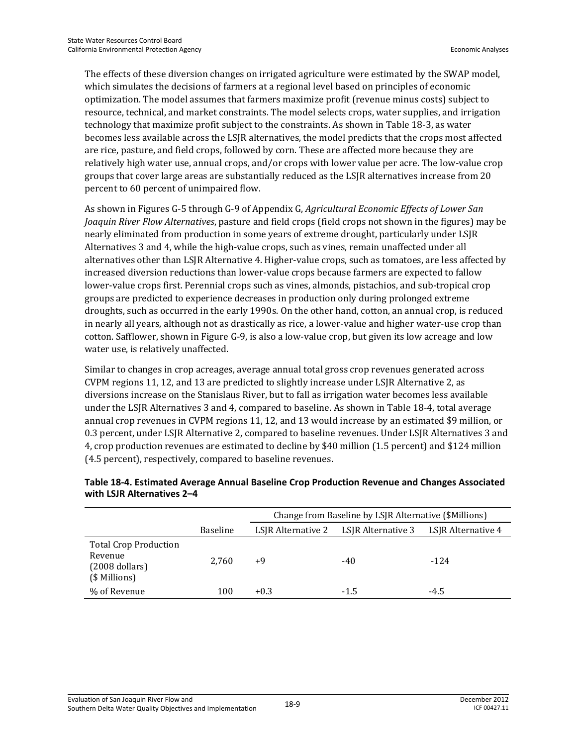The effects of these diversion changes on irrigated agriculture were estimated by the SWAP model, which simulates the decisions of farmers at a regional level based on principles of economic optimization. The model assumes that farmers maximize profit (revenue minus costs) subject to resource, technical, and market constraints. The model selects crops, water supplies, and irrigation technology that maximize profit subject to the constraints. As shown in Table 18-3, as water becomes less available across the LSJR alternatives, the model predicts that the crops most affected are rice, pasture, and field crops, followed by corn. These are affected more because they are relatively high water use, annual crops, and/or crops with lower value per acre. The low-value crop groups that cover large areas are substantially reduced as the LSJR alternatives increase from 20 percent to 60 percent of unimpaired flow.

As shown in Figures G-5 through G-9 of Appendix G, *Agricultural Economic Effects of Lower San Joaquin River Flow Alternatives*, pasture and field crops (field crops not shown in the figures) may be nearly eliminated from production in some years of extreme drought, particularly under LSJR Alternatives 3 and 4, while the high-value crops, such as vines, remain unaffected under all alternatives other than LSJR Alternative 4. Higher-value crops, such as tomatoes, are less affected by increased diversion reductions than lower-value crops because farmers are expected to fallow lower-value crops first. Perennial crops such as vines, almonds, pistachios, and sub-tropical crop groups are predicted to experience decreases in production only during prolonged extreme droughts, such as occurred in the early 1990s. On the other hand, cotton, an annual crop, is reduced in nearly all years, although not as drastically as rice, a lower-value and higher water-use crop than cotton. Safflower, shown in Figure G-9, is also a low-value crop, but given its low acreage and low water use, is relatively unaffected.

Similar to changes in crop acreages, average annual total gross crop revenues generated across CVPM regions 11, 12, and 13 are predicted to slightly increase under LSJR Alternative 2, as diversions increase on the Stanislaus River, but to fall as irrigation water becomes less available under the LSJR Alternatives 3 and 4, compared to baseline. As shown in Table 18-4, total average annual crop revenues in CVPM regions 11, 12, and 13 would increase by an estimated \$9 million, or 0.3 percent, under LSJR Alternative 2, compared to baseline revenues. Under LSJR Alternatives 3 and 4, crop production revenues are estimated to decline by \$40 million (1.5 percent) and \$124 million (4.5 percent), respectively, compared to baseline revenues.

|                                                                              |                 | Change from Baseline by LSJR Alternative (\$Millions) |                    |                    |  |
|------------------------------------------------------------------------------|-----------------|-------------------------------------------------------|--------------------|--------------------|--|
|                                                                              | <b>Baseline</b> | LSJR Alternative 2                                    | LSIR Alternative 3 | LSIR Alternative 4 |  |
| <b>Total Crop Production</b><br>Revenue<br>$(2008$ dollars)<br>(\$ Millions) | 2.760           | +9                                                    | $-40$              | $-124$             |  |
| % of Revenue                                                                 | 100             | $+0.3$                                                | $-1.5$             | $-4.5$             |  |

#### **Table 18-4. Estimated Average Annual Baseline Crop Production Revenue and Changes Associated with LSJR Alternatives 2–4**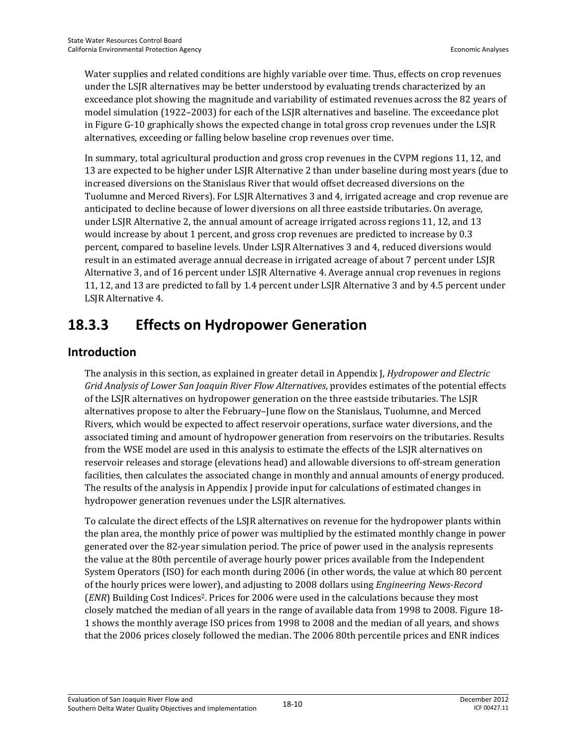Water supplies and related conditions are highly variable over time. Thus, effects on crop revenues under the LSJR alternatives may be better understood by evaluating trends characterized by an exceedance plot showing the magnitude and variability of estimated revenues across the 82 years of model simulation (1922–2003) for each of the LSJR alternatives and baseline. The exceedance plot in Figure G-10 graphically shows the expected change in total gross crop revenues under the LSJR alternatives, exceeding or falling below baseline crop revenues over time.

In summary, total agricultural production and gross crop revenues in the CVPM regions 11, 12, and 13 are expected to be higher under LSJR Alternative 2 than under baseline during most years (due to increased diversions on the Stanislaus River that would offset decreased diversions on the Tuolumne and Merced Rivers). For LSJR Alternatives 3 and 4, irrigated acreage and crop revenue are anticipated to decline because of lower diversions on all three eastside tributaries. On average, under LSJR Alternative 2, the annual amount of acreage irrigated across regions 11, 12, and 13 would increase by about 1 percent, and gross crop revenues are predicted to increase by 0.3 percent, compared to baseline levels. Under LSJR Alternatives 3 and 4, reduced diversions would result in an estimated average annual decrease in irrigated acreage of about 7 percent under LSJR Alternative 3, and of 16 percent under LSJR Alternative 4. Average annual crop revenues in regions 11, 12, and 13 are predicted to fall by 1.4 percent under LSJR Alternative 3 and by 4.5 percent under LSJR Alternative 4.

# **18.3.3 Effects on Hydropower Generation**

## **Introduction**

The analysis in this section, as explained in greater detail in Appendix J, *Hydropower and Electric Grid Analysis of Lower San Joaquin River Flow Alternatives*, provides estimates of the potential effects of the LSJR alternatives on hydropower generation on the three eastside tributaries. The LSJR alternatives propose to alter the February–June flow on the Stanislaus, Tuolumne, and Merced Rivers, which would be expected to affect reservoir operations, surface water diversions, and the associated timing and amount of hydropower generation from reservoirs on the tributaries. Results from the WSE model are used in this analysis to estimate the effects of the LSJR alternatives on reservoir releases and storage (elevations head) and allowable diversions to off-stream generation facilities, then calculates the associated change in monthly and annual amounts of energy produced. The results of the analysis in Appendix J provide input for calculations of estimated changes in hydropower generation revenues under the LSJR alternatives.

To calculate the direct effects of the LSJR alternatives on revenue for the hydropower plants within the plan area, the monthly price of power was multiplied by the estimated monthly change in power generated over the 82-year simulation period. The price of power used in the analysis represents the value at the 80th percentile of average hourly power prices available from the Independent System Operators (ISO) for each month during 2006 (in other words, the value at which 80 percent of the hourly prices were lower), and adjusting to 2008 dollars using *Engineering News-Record* (*ENR*) Building Cost Indices<sup>2</sup>. Prices for 2006 were used in the calculations because they most closely matched the median of all years in the range of available data from 1998 to 2008. Figure 18- 1 shows the monthly average ISO prices from 1998 to 2008 and the median of all years, and shows that the 2006 prices closely followed the median. The 2006 80th percentile prices and ENR indices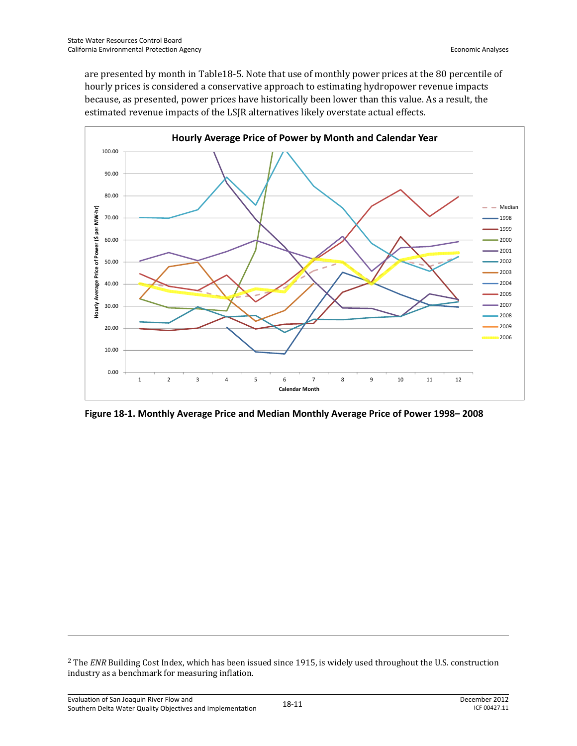are presented by month in Table18-5. Note that use of monthly power prices at the 80 percentile of hourly prices is considered a conservative approach to estimating hydropower revenue impacts because, as presented, power prices have historically been lower than this value. As a result, the estimated revenue impacts of the LSJR alternatives likely overstate actual effects.



**Figure 18-1. Monthly Average Price and Median Monthly Average Price of Power 1998– 2008** 

<sup>2</sup> The *ENR* Building Cost Index, which has been issued since 1915, is widely used throughout the U.S. construction industry as a benchmark for measuring inflation.

<u>.</u>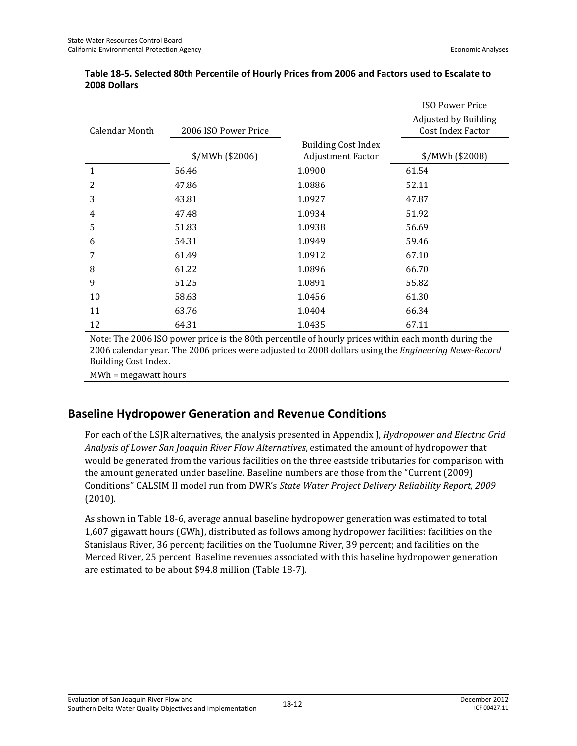|                |                      |                                                        | <b>ISO Power Price</b>                           |
|----------------|----------------------|--------------------------------------------------------|--------------------------------------------------|
| Calendar Month | 2006 ISO Power Price |                                                        | Adjusted by Building<br><b>Cost Index Factor</b> |
|                | $NWh$ (\$2006)       | <b>Building Cost Index</b><br><b>Adjustment Factor</b> | \$/MWh (\$2008)                                  |
| 1              | 56.46                | 1.0900                                                 | 61.54                                            |
| 2              | 47.86                | 1.0886                                                 | 52.11                                            |
| 3              | 43.81                | 1.0927                                                 | 47.87                                            |
| 4              | 47.48                | 1.0934                                                 | 51.92                                            |
| 5              | 51.83                | 1.0938                                                 | 56.69                                            |
| 6              | 54.31                | 1.0949                                                 | 59.46                                            |
| 7              | 61.49                | 1.0912                                                 | 67.10                                            |
| 8              | 61.22                | 1.0896                                                 | 66.70                                            |
| 9              | 51.25                | 1.0891                                                 | 55.82                                            |
| 10             | 58.63                | 1.0456                                                 | 61.30                                            |
| 11             | 63.76                | 1.0404                                                 | 66.34                                            |
| 12             | 64.31                | 1.0435                                                 | 67.11                                            |

#### **Table 18-5. Selected 80th Percentile of Hourly Prices from 2006 and Factors used to Escalate to 2008 Dollars**

Note: The 2006 ISO power price is the 80th percentile of hourly prices within each month during the 2006 calendar year. The 2006 prices were adjusted to 2008 dollars using the *Engineering News-Record* Building Cost Index.

MWh = megawatt hours

## **Baseline Hydropower Generation and Revenue Conditions**

For each of the LSJR alternatives, the analysis presented in Appendix J, *Hydropower and Electric Grid Analysis of Lower San Joaquin River Flow Alternatives*, estimated the amount of hydropower that would be generated from the various facilities on the three eastside tributaries for comparison with the amount generated under baseline. Baseline numbers are those from the "Current (2009) Conditions" CALSIM II model run from DWR's *State Water Project Delivery Reliability Report, 2009* (2010).

As shown in Table 18-6, average annual baseline hydropower generation was estimated to total 1,607 gigawatt hours (GWh), distributed as follows among hydropower facilities: facilities on the Stanislaus River, 36 percent; facilities on the Tuolumne River, 39 percent; and facilities on the Merced River, 25 percent. Baseline revenues associated with this baseline hydropower generation are estimated to be about \$94.8 million (Table 18-7).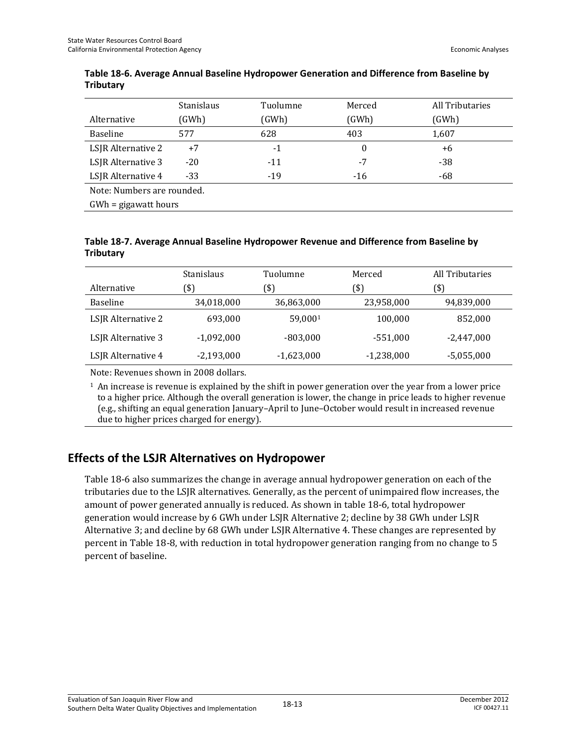|                            | <b>Stanislaus</b> | Tuolumne | Merced       | All Tributaries |  |
|----------------------------|-------------------|----------|--------------|-----------------|--|
| Alternative                | (GWh)             | (GWh)    | (GWh)        | (GWh)           |  |
| <b>Baseline</b>            | 577               | 628      | 403          | 1,607           |  |
| LSJR Alternative 2         | $+7$              | $-1$     | $\mathbf{0}$ | +6              |  |
| LSJR Alternative 3         | $-20$             | $-11$    | $-7$         | $-38$           |  |
| LSJR Alternative 4         | $-33$             | $-19$    | $-16$        | -68             |  |
| Note: Numbers are rounded. |                   |          |              |                 |  |
| $GWh = gigawatt hours$     |                   |          |              |                 |  |

#### **Table 18-6. Average Annual Baseline Hydropower Generation and Difference from Baseline by Tributary**

**Table 18-7. Average Annual Baseline Hydropower Revenue and Difference from Baseline by Tributary** 

|                    | Stanislaus   | Tuolumne     | Merced       | <b>All Tributaries</b> |
|--------------------|--------------|--------------|--------------|------------------------|
| Alternative        | (\$)         | (\$)         | (\$)         | (\$)                   |
| <b>Baseline</b>    | 34,018,000   | 36,863,000   | 23,958,000   | 94,839,000             |
| LSJR Alternative 2 | 693,000      | 59.0001      | 100,000      | 852,000                |
| LSJR Alternative 3 | $-1,092,000$ | $-803,000$   | $-551,000$   | $-2,447,000$           |
| LSJR Alternative 4 | $-2,193,000$ | $-1,623,000$ | $-1,238,000$ | $-5,055,000$           |

Note: Revenues shown in 2008 dollars.

 $<sup>1</sup>$  An increase is revenue is explained by the shift in power generation over the year from a lower price</sup> to a higher price. Although the overall generation is lower, the change in price leads to higher revenue (e.g., shifting an equal generation January–April to June–October would result in increased revenue due to higher prices charged for energy).

## **Effects of the LSJR Alternatives on Hydropower**

Table 18-6 also summarizes the change in average annual hydropower generation on each of the tributaries due to the LSJR alternatives. Generally, as the percent of unimpaired flow increases, the amount of power generated annually is reduced. As shown in table 18-6, total hydropower generation would increase by 6 GWh under LSJR Alternative 2; decline by 38 GWh under LSJR Alternative 3; and decline by 68 GWh under LSJR Alternative 4. These changes are represented by percent in Table 18-8, with reduction in total hydropower generation ranging from no change to 5 percent of baseline.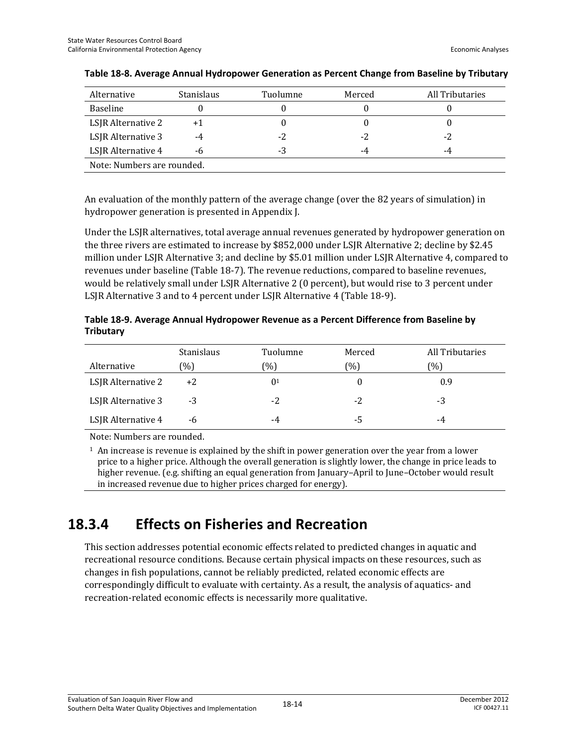| Alternative                | <b>Stanislaus</b> | Tuolumne | Merced | All Tributaries |  |
|----------------------------|-------------------|----------|--------|-----------------|--|
| <b>Baseline</b>            |                   |          |        |                 |  |
| LSJR Alternative 2         | + 1               |          |        |                 |  |
| LSJR Alternative 3         | -4                | $-2$     | $-2$   | $-2$            |  |
| LSJR Alternative 4         | -6                | -3       | -4     | -4              |  |
| Note: Numbers are rounded. |                   |          |        |                 |  |

#### **Table 18-8. Average Annual Hydropower Generation as Percent Change from Baseline by Tributary**

An evaluation of the monthly pattern of the average change (over the 82 years of simulation) in hydropower generation is presented in Appendix J.

Under the LSJR alternatives, total average annual revenues generated by hydropower generation on the three rivers are estimated to increase by \$852,000 under LSJR Alternative 2; decline by \$2.45 million under LSJR Alternative 3; and decline by \$5.01 million under LSJR Alternative 4, compared to revenues under baseline (Table 18-7). The revenue reductions, compared to baseline revenues, would be relatively small under LSJR Alternative 2 (0 percent), but would rise to 3 percent under LSJR Alternative 3 and to 4 percent under LSJR Alternative 4 (Table 18-9).

**Table 18-9. Average Annual Hydropower Revenue as a Percent Difference from Baseline by Tributary** 

|                    | <b>Stanislaus</b> | Tuolumne       | Merced | All Tributaries |
|--------------------|-------------------|----------------|--------|-----------------|
| Alternative        | (%)               | (0/0)          | (0/0)  | (%)             |
| LSJR Alternative 2 | $+2$              | 0 <sup>1</sup> |        | 0.9             |
| LSJR Alternative 3 | $-3$              | $-2$           | $-2$   | -3              |
| LSJR Alternative 4 | -h                | -4             | -5     | -4              |

Note: Numbers are rounded.

 $<sup>1</sup>$  An increase is revenue is explained by the shift in power generation over the year from a lower</sup> price to a higher price. Although the overall generation is slightly lower, the change in price leads to higher revenue. (e.g. shifting an equal generation from January–April to June–October would result in increased revenue due to higher prices charged for energy).

## **18.3.4 Effects on Fisheries and Recreation**

This section addresses potential economic effects related to predicted changes in aquatic and recreational resource conditions. Because certain physical impacts on these resources, such as changes in fish populations, cannot be reliably predicted, related economic effects are correspondingly difficult to evaluate with certainty. As a result, the analysis of aquatics- and recreation-related economic effects is necessarily more qualitative.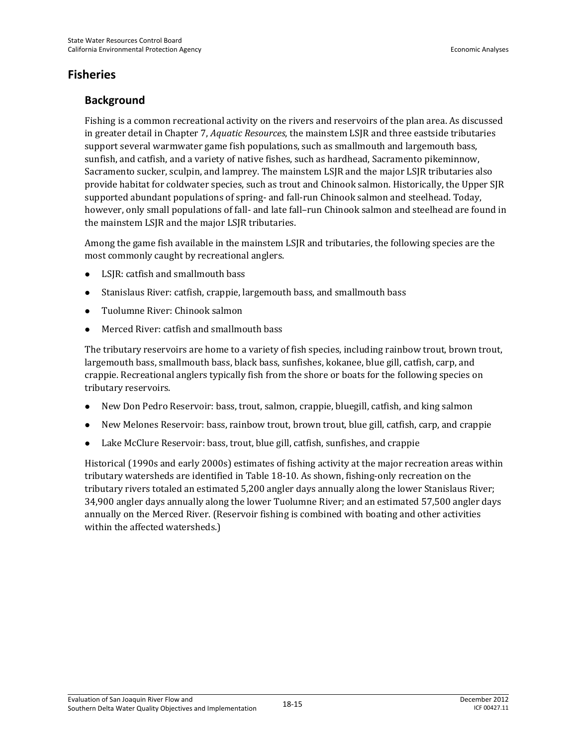#### **Fisheries**

#### **Background**

Fishing is a common recreational activity on the rivers and reservoirs of the plan area. As discussed in greater detail in Chapter 7, *Aquatic Resources*, the mainstem LSJR and three eastside tributaries support several warmwater game fish populations, such as smallmouth and largemouth bass, sunfish, and catfish, and a variety of native fishes, such as hardhead, Sacramento pikeminnow, Sacramento sucker, sculpin, and lamprey. The mainstem LSJR and the major LSJR tributaries also provide habitat for coldwater species, such as trout and Chinook salmon. Historically, the Upper SJR supported abundant populations of spring- and fall-run Chinook salmon and steelhead. Today, however, only small populations of fall- and late fall–run Chinook salmon and steelhead are found in the mainstem LSJR and the major LSJR tributaries.

Among the game fish available in the mainstem LSJR and tributaries, the following species are the most commonly caught by recreational anglers.

- LSJR: catfish and smallmouth bass
- Stanislaus River: catfish, crappie, largemouth bass, and smallmouth bass
- Tuolumne River: Chinook salmon
- Merced River: catfish and smallmouth bass

The tributary reservoirs are home to a variety of fish species, including rainbow trout, brown trout, largemouth bass, smallmouth bass, black bass, sunfishes, kokanee, blue gill, catfish, carp, and crappie. Recreational anglers typically fish from the shore or boats for the following species on tributary reservoirs.

- New Don Pedro Reservoir: bass, trout, salmon, crappie, bluegill, catfish, and king salmon
- New Melones Reservoir: bass, rainbow trout, brown trout, blue gill, catfish, carp, and crappie
- Lake McClure Reservoir: bass, trout, blue gill, catfish, sunfishes, and crappie

Historical (1990s and early 2000s) estimates of fishing activity at the major recreation areas within tributary watersheds are identified in Table 18-10. As shown, fishing-only recreation on the tributary rivers totaled an estimated 5,200 angler days annually along the lower Stanislaus River; 34,900 angler days annually along the lower Tuolumne River; and an estimated 57,500 angler days annually on the Merced River. (Reservoir fishing is combined with boating and other activities within the affected watersheds.)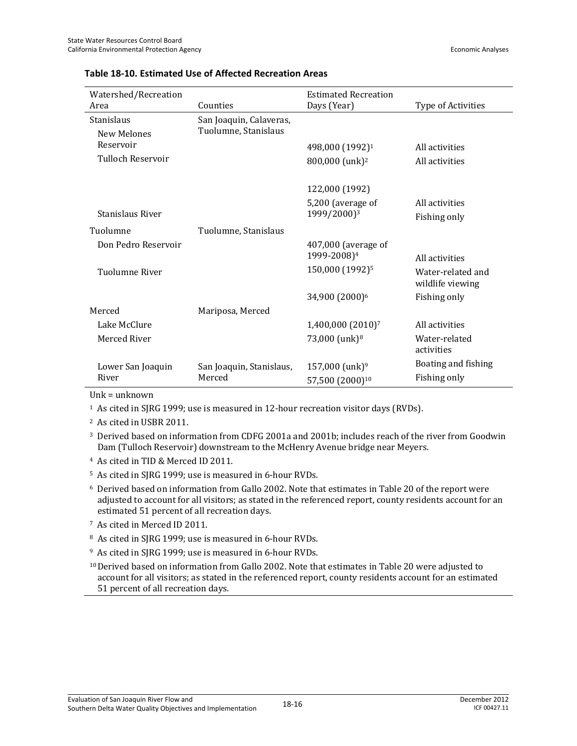| Watershed/Recreation |                          | <b>Estimated Recreation</b>   |                                       |
|----------------------|--------------------------|-------------------------------|---------------------------------------|
| Area                 | Counties                 | Days (Year)                   | Type of Activities                    |
| Stanislaus           | San Joaquin, Calaveras,  |                               |                                       |
| <b>New Melones</b>   | Tuolumne, Stanislaus     |                               |                                       |
| Reservoir            |                          | 498,000 (1992) <sup>1</sup>   | All activities                        |
| Tulloch Reservoir    |                          | 800,000 (unk) <sup>2</sup>    | All activities                        |
|                      |                          |                               |                                       |
|                      |                          | 122,000 (1992)                |                                       |
|                      |                          | 5,200 (average of             | All activities                        |
| Stanislaus River     |                          | 1999/2000) <sup>3</sup>       | Fishing only                          |
| Tuolumne             | Tuolumne, Stanislaus     |                               |                                       |
| Don Pedro Reservoir  |                          | $407,000$ (average of         |                                       |
|                      |                          | 1999-2008) <sup>4</sup>       | All activities                        |
| Tuolumne River       |                          | 150,000 (1992) <sup>5</sup>   | Water-related and<br>wildlife viewing |
|                      |                          | 34,900 (2000)6                | Fishing only                          |
| Merced               | Mariposa, Merced         |                               |                                       |
| Lake McClure         |                          | 1,400,000 (2010) <sup>7</sup> | All activities                        |
| Merced River         |                          | 73,000 (unk) <sup>8</sup>     | Water-related<br>activities           |
| Lower San Joaquin    | San Joaquin, Stanislaus, | 157,000 (unk) <sup>9</sup>    | Boating and fishing                   |
| River                | Merced                   | 57,500 (2000) <sup>10</sup>   | Fishing only                          |

#### **Table 18-10. Estimated Use of Affected Recreation Areas**

Unk = unknown

<sup>1</sup> As cited in SJRG 1999; use is measured in 12-hour recreation visitor days (RVDs).

2 As cited in USBR 2011.

3 Derived based on information from CDFG 2001a and 2001b; includes reach of the river from Goodwin Dam (Tulloch Reservoir) downstream to the McHenry Avenue bridge near Meyers.

- 4 As cited in TID & Merced ID 2011.
- 5 As cited in SJRG 1999; use is measured in 6-hour RVDs.

6 Derived based on information from Gallo 2002. Note that estimates in Table 20 of the report were adjusted to account for all visitors; as stated in the referenced report, county residents account for an estimated 51 percent of all recreation days.

- 7 As cited in Merced ID 2011.
- 8 As cited in SJRG 1999; use is measured in 6-hour RVDs.
- 9 As cited in SJRG 1999; use is measured in 6-hour RVDs.

10 Derived based on information from Gallo 2002. Note that estimates in Table 20 were adjusted to account for all visitors; as stated in the referenced report, county residents account for an estimated 51 percent of all recreation days.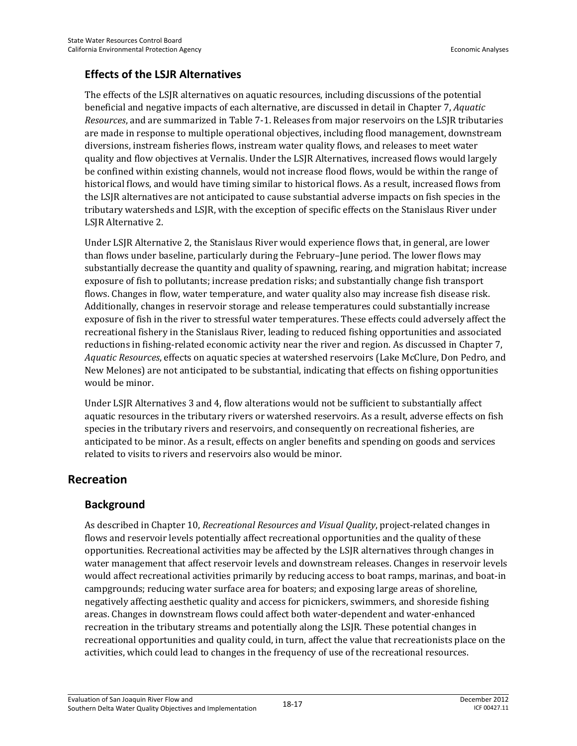#### **Effects of the LSJR Alternatives**

The effects of the LSJR alternatives on aquatic resources, including discussions of the potential beneficial and negative impacts of each alternative, are discussed in detail in Chapter 7, *Aquatic Resources*, and are summarized in Table 7-1. Releases from major reservoirs on the LSJR tributaries are made in response to multiple operational objectives, including flood management, downstream diversions, instream fisheries flows, instream water quality flows, and releases to meet water quality and flow objectives at Vernalis. Under the LSJR Alternatives, increased flows would largely be confined within existing channels, would not increase flood flows, would be within the range of historical flows, and would have timing similar to historical flows. As a result, increased flows from the LSJR alternatives are not anticipated to cause substantial adverse impacts on fish species in the tributary watersheds and LSJR, with the exception of specific effects on the Stanislaus River under LSJR Alternative 2.

Under LSJR Alternative 2, the Stanislaus River would experience flows that, in general, are lower than flows under baseline, particularly during the February–June period. The lower flows may substantially decrease the quantity and quality of spawning, rearing, and migration habitat; increase exposure of fish to pollutants; increase predation risks; and substantially change fish transport flows. Changes in flow, water temperature, and water quality also may increase fish disease risk. Additionally, changes in reservoir storage and release temperatures could substantially increase exposure of fish in the river to stressful water temperatures. These effects could adversely affect the recreational fishery in the Stanislaus River, leading to reduced fishing opportunities and associated reductions in fishing-related economic activity near the river and region. As discussed in Chapter 7, *Aquatic Resources*, effects on aquatic species at watershed reservoirs (Lake McClure, Don Pedro, and New Melones) are not anticipated to be substantial, indicating that effects on fishing opportunities would be minor.

Under LSJR Alternatives 3 and 4, flow alterations would not be sufficient to substantially affect aquatic resources in the tributary rivers or watershed reservoirs. As a result, adverse effects on fish species in the tributary rivers and reservoirs, and consequently on recreational fisheries, are anticipated to be minor. As a result, effects on angler benefits and spending on goods and services related to visits to rivers and reservoirs also would be minor.

#### **Recreation**

#### **Background**

As described in Chapter 10, *Recreational Resources and Visual Quality*, project-related changes in flows and reservoir levels potentially affect recreational opportunities and the quality of these opportunities. Recreational activities may be affected by the LSJR alternatives through changes in water management that affect reservoir levels and downstream releases. Changes in reservoir levels would affect recreational activities primarily by reducing access to boat ramps, marinas, and boat-in campgrounds; reducing water surface area for boaters; and exposing large areas of shoreline, negatively affecting aesthetic quality and access for picnickers, swimmers, and shoreside fishing areas. Changes in downstream flows could affect both water-dependent and water-enhanced recreation in the tributary streams and potentially along the LSJR. These potential changes in recreational opportunities and quality could, in turn, affect the value that recreationists place on the activities, which could lead to changes in the frequency of use of the recreational resources.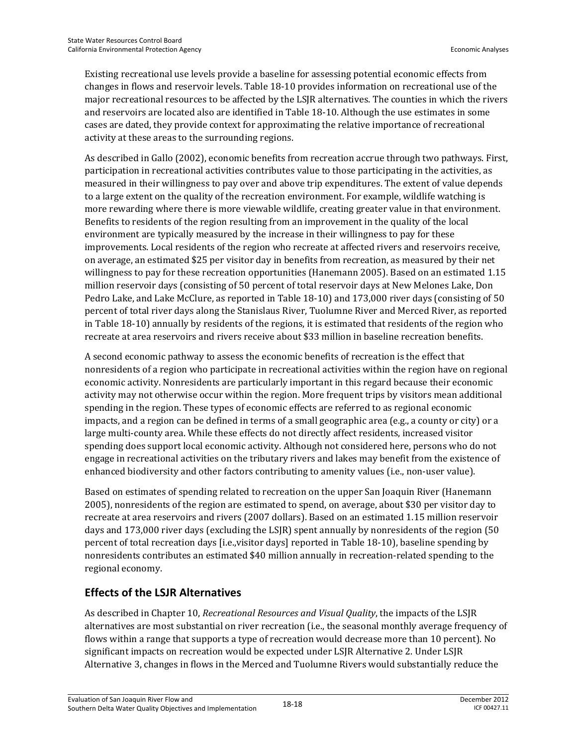Existing recreational use levels provide a baseline for assessing potential economic effects from changes in flows and reservoir levels. Table 18-10 provides information on recreational use of the major recreational resources to be affected by the LSJR alternatives. The counties in which the rivers and reservoirs are located also are identified in Table 18-10. Although the use estimates in some cases are dated, they provide context for approximating the relative importance of recreational activity at these areas to the surrounding regions.

As described in Gallo (2002), economic benefits from recreation accrue through two pathways. First, participation in recreational activities contributes value to those participating in the activities, as measured in their willingness to pay over and above trip expenditures. The extent of value depends to a large extent on the quality of the recreation environment. For example, wildlife watching is more rewarding where there is more viewable wildlife, creating greater value in that environment. Benefits to residents of the region resulting from an improvement in the quality of the local environment are typically measured by the increase in their willingness to pay for these improvements. Local residents of the region who recreate at affected rivers and reservoirs receive, on average, an estimated \$25 per visitor day in benefits from recreation, as measured by their net willingness to pay for these recreation opportunities (Hanemann 2005). Based on an estimated 1.15 million reservoir days (consisting of 50 percent of total reservoir days at New Melones Lake, Don Pedro Lake, and Lake McClure, as reported in Table 18-10) and 173,000 river days (consisting of 50 percent of total river days along the Stanislaus River, Tuolumne River and Merced River, as reported in Table 18-10) annually by residents of the regions, it is estimated that residents of the region who recreate at area reservoirs and rivers receive about \$33 million in baseline recreation benefits.

A second economic pathway to assess the economic benefits of recreation is the effect that nonresidents of a region who participate in recreational activities within the region have on regional economic activity. Nonresidents are particularly important in this regard because their economic activity may not otherwise occur within the region. More frequent trips by visitors mean additional spending in the region. These types of economic effects are referred to as regional economic impacts, and a region can be defined in terms of a small geographic area (e.g., a county or city) or a large multi-county area. While these effects do not directly affect residents, increased visitor spending does support local economic activity. Although not considered here, persons who do not engage in recreational activities on the tributary rivers and lakes may benefit from the existence of enhanced biodiversity and other factors contributing to amenity values (i.e., non-user value).

Based on estimates of spending related to recreation on the upper San Joaquin River (Hanemann 2005), nonresidents of the region are estimated to spend, on average, about \$30 per visitor day to recreate at area reservoirs and rivers (2007 dollars). Based on an estimated 1.15 million reservoir days and 173,000 river days (excluding the LSJR) spent annually by nonresidents of the region (50 percent of total recreation days [i.e.,visitor days] reported in Table 18-10), baseline spending by nonresidents contributes an estimated \$40 million annually in recreation-related spending to the regional economy.

## **Effects of the LSJR Alternatives**

As described in Chapter 10, *Recreational Resources and Visual Quality*, the impacts of the LSJR alternatives are most substantial on river recreation (i.e., the seasonal monthly average frequency of flows within a range that supports a type of recreation would decrease more than 10 percent). No significant impacts on recreation would be expected under LSJR Alternative 2. Under LSJR Alternative 3, changes in flows in the Merced and Tuolumne Rivers would substantially reduce the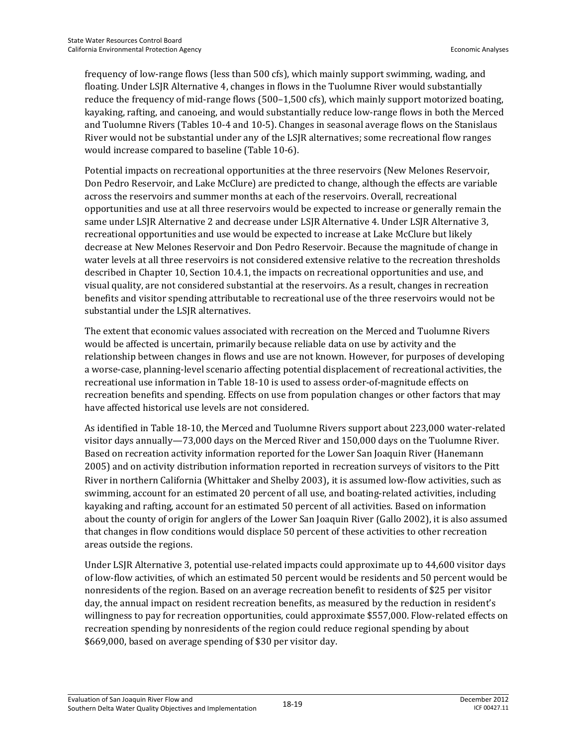frequency of low-range flows (less than 500 cfs), which mainly support swimming, wading, and floating. Under LSJR Alternative 4, changes in flows in the Tuolumne River would substantially reduce the frequency of mid-range flows (500–1,500 cfs), which mainly support motorized boating, kayaking, rafting, and canoeing, and would substantially reduce low-range flows in both the Merced and Tuolumne Rivers (Tables 10-4 and 10-5). Changes in seasonal average flows on the Stanislaus River would not be substantial under any of the LSJR alternatives; some recreational flow ranges would increase compared to baseline (Table 10-6).

Potential impacts on recreational opportunities at the three reservoirs (New Melones Reservoir, Don Pedro Reservoir, and Lake McClure) are predicted to change, although the effects are variable across the reservoirs and summer months at each of the reservoirs. Overall, recreational opportunities and use at all three reservoirs would be expected to increase or generally remain the same under LSJR Alternative 2 and decrease under LSJR Alternative 4. Under LSJR Alternative 3, recreational opportunities and use would be expected to increase at Lake McClure but likely decrease at New Melones Reservoir and Don Pedro Reservoir. Because the magnitude of change in water levels at all three reservoirs is not considered extensive relative to the recreation thresholds described in Chapter 10, Section 10.4.1, the impacts on recreational opportunities and use, and visual quality, are not considered substantial at the reservoirs. As a result, changes in recreation benefits and visitor spending attributable to recreational use of the three reservoirs would not be substantial under the LSJR alternatives.

The extent that economic values associated with recreation on the Merced and Tuolumne Rivers would be affected is uncertain, primarily because reliable data on use by activity and the relationship between changes in flows and use are not known. However, for purposes of developing a worse-case, planning-level scenario affecting potential displacement of recreational activities, the recreational use information in Table 18-10 is used to assess order-of-magnitude effects on recreation benefits and spending. Effects on use from population changes or other factors that may have affected historical use levels are not considered.

As identified in Table 18-10, the Merced and Tuolumne Rivers support about 223,000 water-related visitor days annually—73,000 days on the Merced River and 150,000 days on the Tuolumne River. Based on recreation activity information reported for the Lower San Joaquin River (Hanemann 2005) and on activity distribution information reported in recreation surveys of visitors to the Pitt River in northern California (Whittaker and Shelby 2003), it is assumed low-flow activities, such as swimming, account for an estimated 20 percent of all use, and boating-related activities, including kayaking and rafting, account for an estimated 50 percent of all activities. Based on information about the county of origin for anglers of the Lower San Joaquin River (Gallo 2002), it is also assumed that changes in flow conditions would displace 50 percent of these activities to other recreation areas outside the regions.

Under LSJR Alternative 3, potential use-related impacts could approximate up to 44,600 visitor days of low-flow activities, of which an estimated 50 percent would be residents and 50 percent would be nonresidents of the region. Based on an average recreation benefit to residents of \$25 per visitor day, the annual impact on resident recreation benefits, as measured by the reduction in resident's willingness to pay for recreation opportunities, could approximate \$557,000. Flow-related effects on recreation spending by nonresidents of the region could reduce regional spending by about \$669,000, based on average spending of \$30 per visitor day.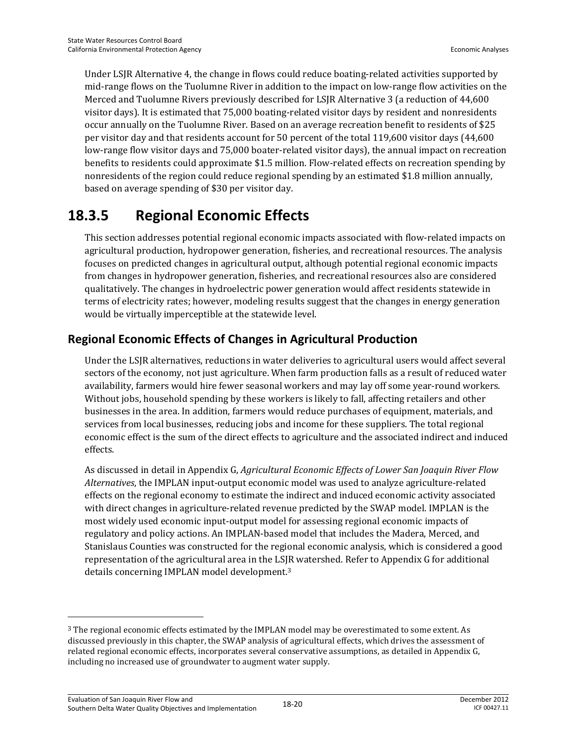Under LSJR Alternative 4, the change in flows could reduce boating-related activities supported by mid-range flows on the Tuolumne River in addition to the impact on low-range flow activities on the Merced and Tuolumne Rivers previously described for LSJR Alternative 3 (a reduction of 44,600 visitor days). It is estimated that 75,000 boating-related visitor days by resident and nonresidents occur annually on the Tuolumne River. Based on an average recreation benefit to residents of \$25 per visitor day and that residents account for 50 percent of the total 119,600 visitor days (44,600 low-range flow visitor days and 75,000 boater-related visitor days), the annual impact on recreation benefits to residents could approximate \$1.5 million. Flow-related effects on recreation spending by nonresidents of the region could reduce regional spending by an estimated \$1.8 million annually, based on average spending of \$30 per visitor day.

## **18.3.5 Regional Economic Effects**

This section addresses potential regional economic impacts associated with flow-related impacts on agricultural production, hydropower generation, fisheries, and recreational resources. The analysis focuses on predicted changes in agricultural output, although potential regional economic impacts from changes in hydropower generation, fisheries, and recreational resources also are considered qualitatively. The changes in hydroelectric power generation would affect residents statewide in terms of electricity rates; however, modeling results suggest that the changes in energy generation would be virtually imperceptible at the statewide level.

## **Regional Economic Effects of Changes in Agricultural Production**

Under the LSJR alternatives, reductions in water deliveries to agricultural users would affect several sectors of the economy, not just agriculture. When farm production falls as a result of reduced water availability, farmers would hire fewer seasonal workers and may lay off some year-round workers. Without jobs, household spending by these workers is likely to fall, affecting retailers and other businesses in the area. In addition, farmers would reduce purchases of equipment, materials, and services from local businesses, reducing jobs and income for these suppliers. The total regional economic effect is the sum of the direct effects to agriculture and the associated indirect and induced effects.

As discussed in detail in Appendix G, *Agricultural Economic Effects of Lower San Joaquin River Flow Alternatives*, the IMPLAN input-output economic model was used to analyze agriculture-related effects on the regional economy to estimate the indirect and induced economic activity associated with direct changes in agriculture-related revenue predicted by the SWAP model. IMPLAN is the most widely used economic input-output model for assessing regional economic impacts of regulatory and policy actions. An IMPLAN-based model that includes the Madera, Merced, and Stanislaus Counties was constructed for the regional economic analysis, which is considered a good representation of the agricultural area in the LSJR watershed. Refer to Appendix G for additional details concerning IMPLAN model development.3

 $\overline{a}$ 

<sup>&</sup>lt;sup>3</sup> The regional economic effects estimated by the IMPLAN model may be overestimated to some extent. As discussed previously in this chapter, the SWAP analysis of agricultural effects, which drives the assessment of related regional economic effects, incorporates several conservative assumptions, as detailed in Appendix G, including no increased use of groundwater to augment water supply.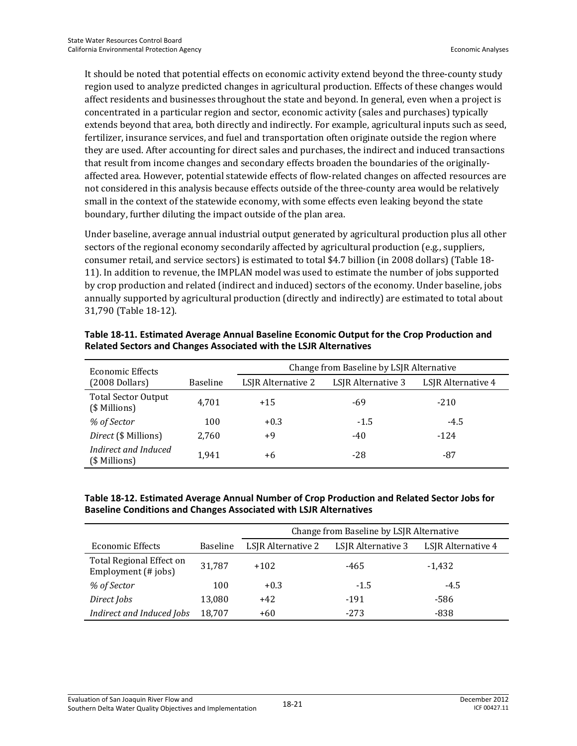It should be noted that potential effects on economic activity extend beyond the three-county study region used to analyze predicted changes in agricultural production. Effects of these changes would affect residents and businesses throughout the state and beyond. In general, even when a project is concentrated in a particular region and sector, economic activity (sales and purchases) typically extends beyond that area, both directly and indirectly. For example, agricultural inputs such as seed, fertilizer, insurance services, and fuel and transportation often originate outside the region where they are used. After accounting for direct sales and purchases, the indirect and induced transactions that result from income changes and secondary effects broaden the boundaries of the originallyaffected area. However, potential statewide effects of flow-related changes on affected resources are not considered in this analysis because effects outside of the three-county area would be relatively small in the context of the statewide economy, with some effects even leaking beyond the state boundary, further diluting the impact outside of the plan area.

Under baseline, average annual industrial output generated by agricultural production plus all other sectors of the regional economy secondarily affected by agricultural production (e.g., suppliers, consumer retail, and service sectors) is estimated to total \$4.7 billion (in 2008 dollars) (Table 18- 11). In addition to revenue, the IMPLAN model was used to estimate the number of jobs supported by crop production and related (indirect and induced) sectors of the economy. Under baseline, jobs annually supported by agricultural production (directly and indirectly) are estimated to total about 31,790 (Table 18-12).

| Economic Effects                            |                 | Change from Baseline by LSJR Alternative |                    |                    |  |
|---------------------------------------------|-----------------|------------------------------------------|--------------------|--------------------|--|
| $(2008$ Dollars)                            | <b>Baseline</b> | LSJR Alternative 2                       | LSJR Alternative 3 | LSJR Alternative 4 |  |
| <b>Total Sector Output</b><br>(\$ Millions) | 4.701           | $+15$                                    | -69                | $-210$             |  |
| % of Sector                                 | 100             | $+0.3$                                   | $-1.5$             | $-4.5$             |  |
| Direct (\$ Millions)                        | 2,760           | +9                                       | $-40$              | $-124$             |  |
| Indirect and Induced<br>(\$ Millions)       | 1.941           | +6                                       | -28                | -87                |  |

**Table 18-11. Estimated Average Annual Baseline Economic Output for the Crop Production and Related Sectors and Changes Associated with the LSJR Alternatives** 

#### **Table 18-12. Estimated Average Annual Number of Crop Production and Related Sector Jobs for Baseline Conditions and Changes Associated with LSJR Alternatives**

|                                                 |                 | Change from Baseline by LSJR Alternative |                    |                    |  |
|-------------------------------------------------|-----------------|------------------------------------------|--------------------|--------------------|--|
| Economic Effects                                | <b>Baseline</b> | LSJR Alternative 2                       | LSJR Alternative 3 | LSJR Alternative 4 |  |
| Total Regional Effect on<br>Employment (# jobs) | 31.787          | $+102$                                   | -465               | $-1,432$           |  |
| % of Sector                                     | 100             | $+0.3$                                   | $-1.5$             | $-4.5$             |  |
| Direct Jobs                                     | 13,080          | $+42$                                    | -191               | -586               |  |
| Indirect and Induced Jobs                       | 18,707          | $+60$                                    | $-273$             | -838               |  |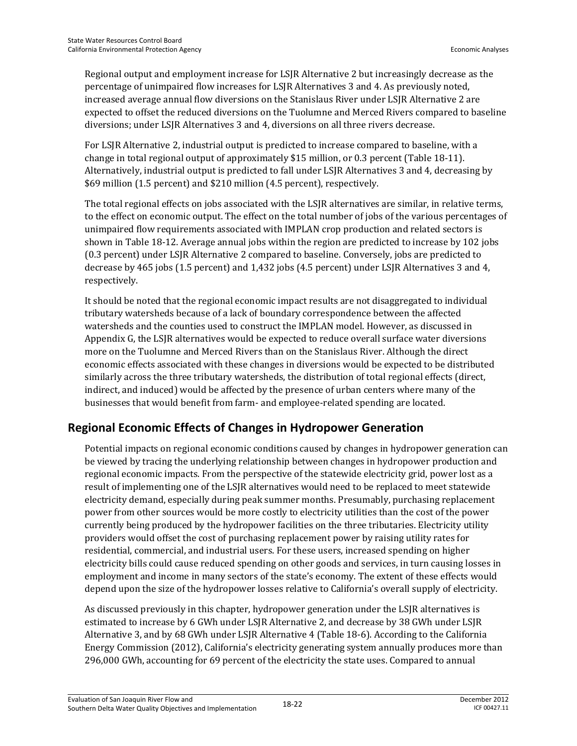Regional output and employment increase for LSJR Alternative 2 but increasingly decrease as the percentage of unimpaired flow increases for LSJR Alternatives 3 and 4. As previously noted, increased average annual flow diversions on the Stanislaus River under LSJR Alternative 2 are expected to offset the reduced diversions on the Tuolumne and Merced Rivers compared to baseline diversions; under LSJR Alternatives 3 and 4, diversions on all three rivers decrease.

For LSJR Alternative 2, industrial output is predicted to increase compared to baseline, with a change in total regional output of approximately \$15 million, or 0.3 percent (Table 18-11). Alternatively, industrial output is predicted to fall under LSJR Alternatives 3 and 4, decreasing by \$69 million (1.5 percent) and \$210 million (4.5 percent), respectively.

The total regional effects on jobs associated with the LSJR alternatives are similar, in relative terms, to the effect on economic output. The effect on the total number of jobs of the various percentages of unimpaired flow requirements associated with IMPLAN crop production and related sectors is shown in Table 18-12. Average annual jobs within the region are predicted to increase by 102 jobs (0.3 percent) under LSJR Alternative 2 compared to baseline. Conversely, jobs are predicted to decrease by 465 jobs (1.5 percent) and 1,432 jobs (4.5 percent) under LSJR Alternatives 3 and 4, respectively.

It should be noted that the regional economic impact results are not disaggregated to individual tributary watersheds because of a lack of boundary correspondence between the affected watersheds and the counties used to construct the IMPLAN model. However, as discussed in Appendix G, the LSJR alternatives would be expected to reduce overall surface water diversions more on the Tuolumne and Merced Rivers than on the Stanislaus River. Although the direct economic effects associated with these changes in diversions would be expected to be distributed similarly across the three tributary watersheds, the distribution of total regional effects (direct, indirect, and induced) would be affected by the presence of urban centers where many of the businesses that would benefit from farm- and employee-related spending are located.

## **Regional Economic Effects of Changes in Hydropower Generation**

Potential impacts on regional economic conditions caused by changes in hydropower generation can be viewed by tracing the underlying relationship between changes in hydropower production and regional economic impacts. From the perspective of the statewide electricity grid, power lost as a result of implementing one of the LSJR alternatives would need to be replaced to meet statewide electricity demand, especially during peak summer months. Presumably, purchasing replacement power from other sources would be more costly to electricity utilities than the cost of the power currently being produced by the hydropower facilities on the three tributaries. Electricity utility providers would offset the cost of purchasing replacement power by raising utility rates for residential, commercial, and industrial users. For these users, increased spending on higher electricity bills could cause reduced spending on other goods and services, in turn causing losses in employment and income in many sectors of the state's economy. The extent of these effects would depend upon the size of the hydropower losses relative to California's overall supply of electricity.

As discussed previously in this chapter, hydropower generation under the LSJR alternatives is estimated to increase by 6 GWh under LSJR Alternative 2, and decrease by 38 GWh under LSJR Alternative 3, and by 68 GWh under LSJR Alternative 4 (Table 18-6). According to the California Energy Commission (2012), California's electricity generating system annually produces more than 296,000 GWh, accounting for 69 percent of the electricity the state uses. Compared to annual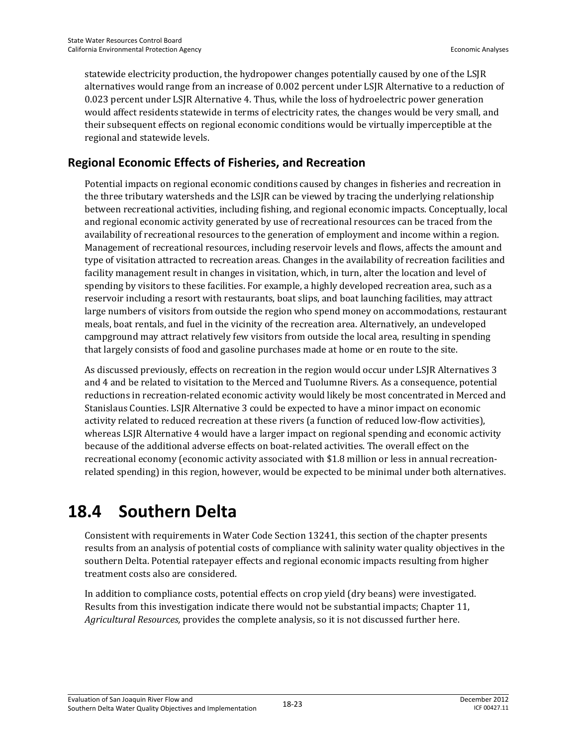statewide electricity production, the hydropower changes potentially caused by one of the LSJR alternatives would range from an increase of 0.002 percent under LSJR Alternative to a reduction of 0.023 percent under LSJR Alternative 4. Thus, while the loss of hydroelectric power generation would affect residents statewide in terms of electricity rates, the changes would be very small, and their subsequent effects on regional economic conditions would be virtually imperceptible at the regional and statewide levels.

## **Regional Economic Effects of Fisheries, and Recreation**

Potential impacts on regional economic conditions caused by changes in fisheries and recreation in the three tributary watersheds and the LSJR can be viewed by tracing the underlying relationship between recreational activities, including fishing, and regional economic impacts. Conceptually, local and regional economic activity generated by use of recreational resources can be traced from the availability of recreational resources to the generation of employment and income within a region. Management of recreational resources, including reservoir levels and flows, affects the amount and type of visitation attracted to recreation areas. Changes in the availability of recreation facilities and facility management result in changes in visitation, which, in turn, alter the location and level of spending by visitors to these facilities. For example, a highly developed recreation area, such as a reservoir including a resort with restaurants, boat slips, and boat launching facilities, may attract large numbers of visitors from outside the region who spend money on accommodations, restaurant meals, boat rentals, and fuel in the vicinity of the recreation area. Alternatively, an undeveloped campground may attract relatively few visitors from outside the local area, resulting in spending that largely consists of food and gasoline purchases made at home or en route to the site.

As discussed previously, effects on recreation in the region would occur under LSJR Alternatives 3 and 4 and be related to visitation to the Merced and Tuolumne Rivers. As a consequence, potential reductions in recreation-related economic activity would likely be most concentrated in Merced and Stanislaus Counties. LSJR Alternative 3 could be expected to have a minor impact on economic activity related to reduced recreation at these rivers (a function of reduced low-flow activities), whereas LSJR Alternative 4 would have a larger impact on regional spending and economic activity because of the additional adverse effects on boat-related activities. The overall effect on the recreational economy (economic activity associated with \$1.8 million or less in annual recreationrelated spending) in this region, however, would be expected to be minimal under both alternatives.

# **18.4 Southern Delta**

Consistent with requirements in Water Code Section 13241, this section of the chapter presents results from an analysis of potential costs of compliance with salinity water quality objectives in the southern Delta. Potential ratepayer effects and regional economic impacts resulting from higher treatment costs also are considered.

In addition to compliance costs, potential effects on crop yield (dry beans) were investigated. Results from this investigation indicate there would not be substantial impacts; Chapter 11, *Agricultural Resources,* provides the complete analysis, so it is not discussed further here.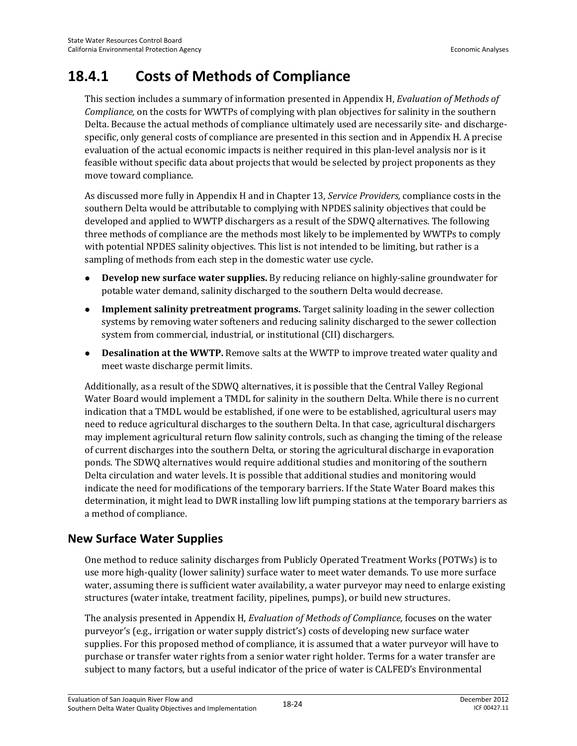# **18.4.1 Costs of Methods of Compliance**

This section includes a summary of information presented in Appendix H, *Evaluation of Methods of Compliance,* on the costs for WWTPs of complying with plan objectives for salinity in the southern Delta. Because the actual methods of compliance ultimately used are necessarily site- and dischargespecific, only general costs of compliance are presented in this section and in Appendix H. A precise evaluation of the actual economic impacts is neither required in this plan-level analysis nor is it feasible without specific data about projects that would be selected by project proponents as they move toward compliance.

As discussed more fully in Appendix H and in Chapter 13, *Service Providers,* compliance costs in the southern Delta would be attributable to complying with NPDES salinity objectives that could be developed and applied to WWTP dischargers as a result of the SDWQ alternatives. The following three methods of compliance are the methods most likely to be implemented by WWTPs to comply with potential NPDES salinity objectives. This list is not intended to be limiting, but rather is a sampling of methods from each step in the domestic water use cycle.

- **Develop new surface water supplies.** By reducing reliance on highly-saline groundwater for potable water demand, salinity discharged to the southern Delta would decrease.
- **Implement salinity pretreatment programs.** Target salinity loading in the sewer collection systems by removing water softeners and reducing salinity discharged to the sewer collection system from commercial, industrial, or institutional (CII) dischargers.
- **Desalination at the WWTP.** Remove salts at the WWTP to improve treated water quality and meet waste discharge permit limits.

Additionally, as a result of the SDWQ alternatives, it is possible that the Central Valley Regional Water Board would implement a TMDL for salinity in the southern Delta. While there is no current indication that a TMDL would be established, if one were to be established, agricultural users may need to reduce agricultural discharges to the southern Delta. In that case, agricultural dischargers may implement agricultural return flow salinity controls, such as changing the timing of the release of current discharges into the southern Delta, or storing the agricultural discharge in evaporation ponds. The SDWQ alternatives would require additional studies and monitoring of the southern Delta circulation and water levels. It is possible that additional studies and monitoring would indicate the need for modifications of the temporary barriers. If the State Water Board makes this determination, it might lead to DWR installing low lift pumping stations at the temporary barriers as a method of compliance.

## **New Surface Water Supplies**

One method to reduce salinity discharges from Publicly Operated Treatment Works (POTWs) is to use more high-quality (lower salinity) surface water to meet water demands. To use more surface water, assuming there is sufficient water availability, a water purveyor may need to enlarge existing structures (water intake, treatment facility, pipelines, pumps), or build new structures.

The analysis presented in Appendix H, *Evaluation of Methods of Compliance,* focuses on the water purveyor's (e.g., irrigation or water supply district's) costs of developing new surface water supplies. For this proposed method of compliance, it is assumed that a water purveyor will have to purchase or transfer water rights from a senior water right holder. Terms for a water transfer are subject to many factors, but a useful indicator of the price of water is CALFED's Environmental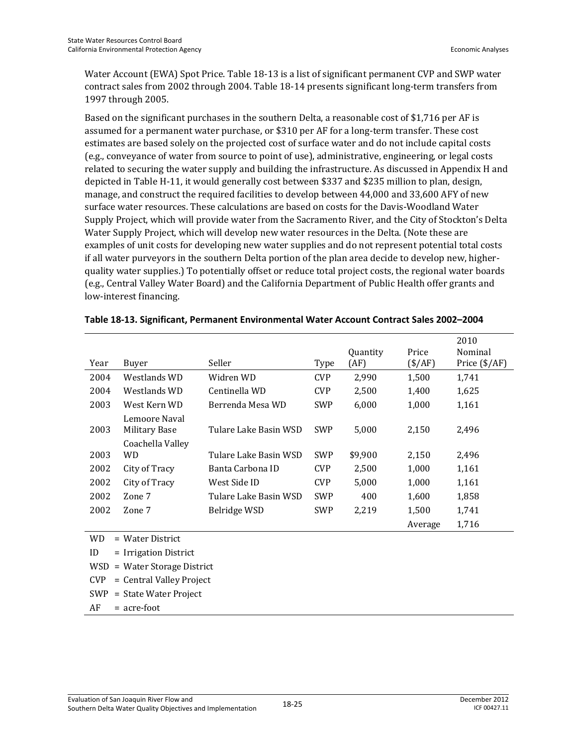Water Account (EWA) Spot Price. Table 18-13 is a list of significant permanent CVP and SWP water contract sales from 2002 through 2004. Table 18-14 presents significant long-term transfers from 1997 through 2005.

Based on the significant purchases in the southern Delta, a reasonable cost of \$1,716 per AF is assumed for a permanent water purchase, or \$310 per AF for a long-term transfer. These cost estimates are based solely on the projected cost of surface water and do not include capital costs (e.g., conveyance of water from source to point of use), administrative, engineering, or legal costs related to securing the water supply and building the infrastructure. As discussed in Appendix H and depicted in Table H-11, it would generally cost between \$337 and \$235 million to plan, design, manage, and construct the required facilities to develop between 44,000 and 33,600 AFY of new surface water resources. These calculations are based on costs for the Davis-Woodland Water Supply Project, which will provide water from the Sacramento River, and the City of Stockton's Delta Water Supply Project, which will develop new water resources in the Delta. (Note these are examples of unit costs for developing new water supplies and do not represent potential total costs if all water purveyors in the southern Delta portion of the plan area decide to develop new, higherquality water supplies.) To potentially offset or reduce total project costs, the regional water boards (e.g., Central Valley Water Board) and the California Department of Public Health offer grants and low-interest financing.

| Year | Buyer                          | Seller                | Type       | Quantity<br>(AF) | Price<br>$(\frac{$}{AF})$ | 2010<br>Nominal<br>Price $(\frac{4}{AF})$ |
|------|--------------------------------|-----------------------|------------|------------------|---------------------------|-------------------------------------------|
| 2004 | Westlands WD                   | Widren WD             | <b>CVP</b> | 2,990            | 1,500                     | 1,741                                     |
| 2004 | Westlands WD                   | Centinella WD         | <b>CVP</b> | 2,500            | 1,400                     | 1,625                                     |
| 2003 | West Kern WD                   | Berrenda Mesa WD      | <b>SWP</b> | 6,000            | 1,000                     | 1,161                                     |
| 2003 | Lemoore Naval<br>Military Base | Tulare Lake Basin WSD | <b>SWP</b> | 5,000            | 2,150                     | 2,496                                     |
| 2003 | Coachella Valley<br>WD         | Tulare Lake Basin WSD | <b>SWP</b> | \$9,900          | 2,150                     | 2,496                                     |
| 2002 | City of Tracy                  | Banta Carbona ID      | <b>CVP</b> | 2,500            | 1,000                     | 1,161                                     |
| 2002 | City of Tracy                  | West Side ID          | <b>CVP</b> | 5,000            | 1,000                     | 1,161                                     |
| 2002 | Zone 7                         | Tulare Lake Basin WSD | <b>SWP</b> | 400              | 1,600                     | 1,858                                     |
| 2002 | Zone 7                         | Belridge WSD          | SWP        | 2,219            | 1,500                     | 1,741                                     |
|      |                                |                       |            |                  | Average                   | 1,716                                     |
|      |                                |                       |            |                  |                           |                                           |

#### **Table 18-13. Significant, Permanent Environmental Water Account Contract Sales 2002–2004**

- WD = Water District
- ID = Irrigation District
- WSD = Water Storage District
- CVP = Central Valley Project
- SWP = State Water Project
- $AF = acre-foot$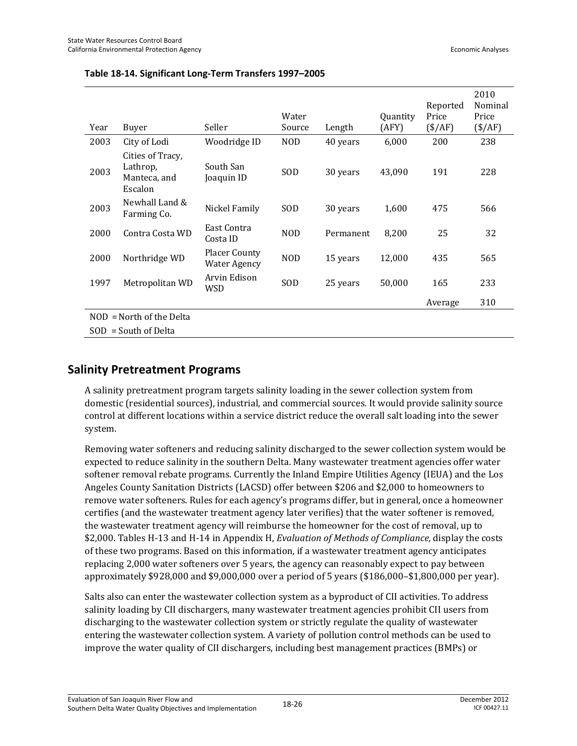|      |                                                         |                                             | Water      |           | <b>Quantity</b> | Reported<br>Price | 2010<br>Nominal<br>Price |
|------|---------------------------------------------------------|---------------------------------------------|------------|-----------|-----------------|-------------------|--------------------------|
| Year | Buyer                                                   | Seller                                      | Source     | Length    | (AFY)           | $(\frac{$}{AF})$  | $(\frac{$}{AF})$         |
| 2003 | City of Lodi                                            | Woodridge ID                                | <b>NOD</b> | 40 years  | 6,000           | 200               | 238                      |
| 2003 | Cities of Tracy,<br>Lathrop,<br>Manteca, and<br>Escalon | South San<br>Joaquin ID                     | SOD        | 30 years  | 43,090          | 191               | 228                      |
| 2003 | Newhall Land &<br>Farming Co.                           | Nickel Family                               | <b>SOD</b> | 30 years  | 1,600           | 475               | 566                      |
| 2000 | Contra Costa WD                                         | East Contra<br>Costa ID                     | <b>NOD</b> | Permanent | 8,200           | 25                | 32                       |
| 2000 | Northridge WD                                           | <b>Placer County</b><br><b>Water Agency</b> | <b>NOD</b> | 15 years  | 12,000          | 435               | 565                      |
| 1997 | Metropolitan WD                                         | Arvin Edison<br>WSD                         | <b>SOD</b> | 25 years  | 50,000          | 165               | 233                      |
|      |                                                         |                                             |            |           |                 | Average           | 310                      |
|      | $NOD = North$ of the Delta                              |                                             |            |           |                 |                   |                          |
|      | $SOD = South of Delta$                                  |                                             |            |           |                 |                   |                          |

#### **Table 18-14. Significant Long-Term Transfers 1997–2005**

#### **Salinity Pretreatment Programs**

A salinity pretreatment program targets salinity loading in the sewer collection system from domestic (residential sources), industrial, and commercial sources. It would provide salinity source control at different locations within a service district reduce the overall salt loading into the sewer system.

Removing water softeners and reducing salinity discharged to the sewer collection system would be expected to reduce salinity in the southern Delta. Many wastewater treatment agencies offer water softener removal rebate programs. Currently the Inland Empire Utilities Agency (IEUA) and the Los Angeles County Sanitation Districts (LACSD) offer between \$206 and \$2,000 to homeowners to remove water softeners. Rules for each agency's programs differ, but in general, once a homeowner certifies (and the wastewater treatment agency later verifies) that the water softener is removed, the wastewater treatment agency will reimburse the homeowner for the cost of removal, up to \$2,000. Tables H-13 and H-14 in Appendix H, *Evaluation of Methods of Compliance,* display the costs of these two programs. Based on this information, if a wastewater treatment agency anticipates replacing 2,000 water softeners over 5 years, the agency can reasonably expect to pay between approximately \$928,000 and \$9,000,000 over a period of 5 years (\$186,000–\$1,800,000 per year).

Salts also can enter the wastewater collection system as a byproduct of CII activities. To address salinity loading by CII dischargers, many wastewater treatment agencies prohibit CII users from discharging to the wastewater collection system or strictly regulate the quality of wastewater entering the wastewater collection system. A variety of pollution control methods can be used to improve the water quality of CII dischargers, including best management practices (BMPs) or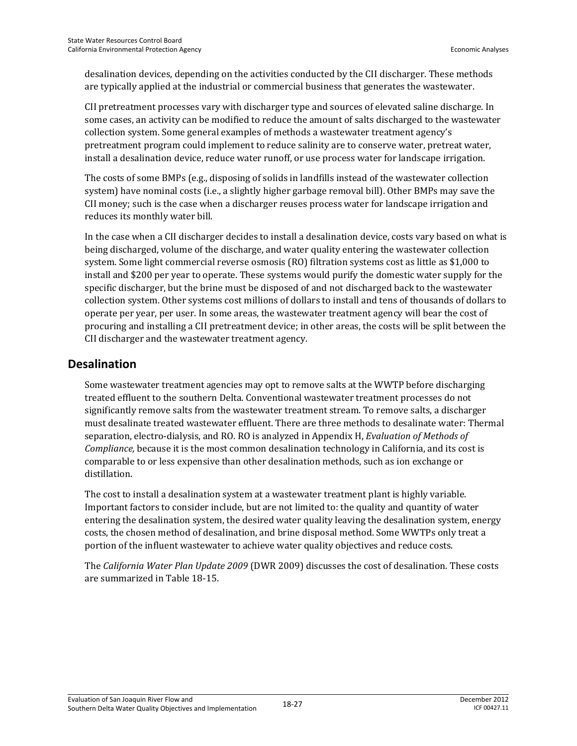desalination devices, depending on the activities conducted by the CII discharger. These methods are typically applied at the industrial or commercial business that generates the wastewater.

CII pretreatment processes vary with discharger type and sources of elevated saline discharge. In some cases, an activity can be modified to reduce the amount of salts discharged to the wastewater collection system. Some general examples of methods a wastewater treatment agency's pretreatment program could implement to reduce salinity are to conserve water, pretreat water, install a desalination device, reduce water runoff, or use process water for landscape irrigation.

The costs of some BMPs (e.g., disposing of solids in landfills instead of the wastewater collection system) have nominal costs (i.e., a slightly higher garbage removal bill). Other BMPs may save the CII money; such is the case when a discharger reuses process water for landscape irrigation and reduces its monthly water bill.

In the case when a CII discharger decides to install a desalination device, costs vary based on what is being discharged, volume of the discharge, and water quality entering the wastewater collection system. Some light commercial reverse osmosis (RO) filtration systems cost as little as \$1,000 to install and \$200 per year to operate. These systems would purify the domestic water supply for the specific discharger, but the brine must be disposed of and not discharged back to the wastewater collection system. Other systems cost millions of dollars to install and tens of thousands of dollars to operate per year, per user. In some areas, the wastewater treatment agency will bear the cost of procuring and installing a CII pretreatment device; in other areas, the costs will be split between the CII discharger and the wastewater treatment agency.

#### **Desalination**

Some wastewater treatment agencies may opt to remove salts at the WWTP before discharging treated effluent to the southern Delta. Conventional wastewater treatment processes do not significantly remove salts from the wastewater treatment stream. To remove salts, a discharger must desalinate treated wastewater effluent. There are three methods to desalinate water: Thermal separation, electro-dialysis, and RO. RO is analyzed in Appendix H, *Evaluation of Methods of Compliance,* because it is the most common desalination technology in California, and its cost is comparable to or less expensive than other desalination methods, such as ion exchange or distillation.

The cost to install a desalination system at a wastewater treatment plant is highly variable. Important factors to consider include, but are not limited to: the quality and quantity of water entering the desalination system, the desired water quality leaving the desalination system, energy costs, the chosen method of desalination, and brine disposal method. Some WWTPs only treat a portion of the influent wastewater to achieve water quality objectives and reduce costs.

The *California Water Plan Update 2009* (DWR 2009) discusses the cost of desalination. These costs are summarized in Table 18-15.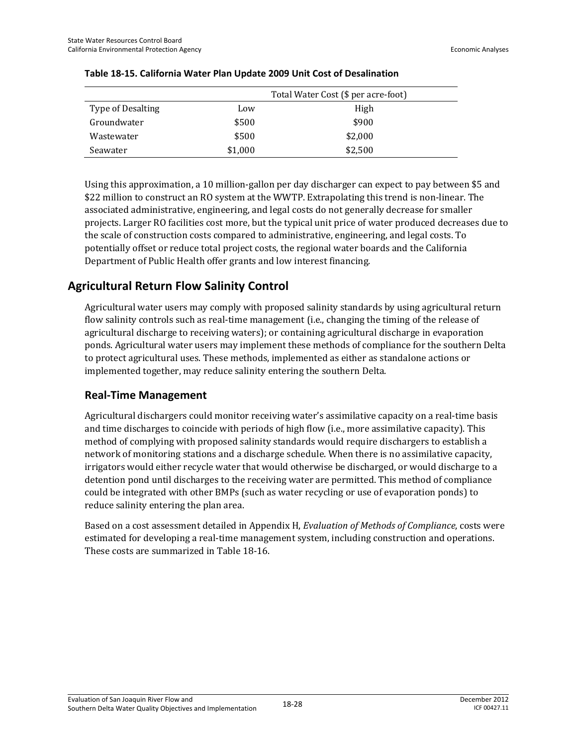|                   | Total Water Cost (\$ per acre-foot) |         |  |
|-------------------|-------------------------------------|---------|--|
| Type of Desalting | Low                                 | High    |  |
| Groundwater       | \$500                               | \$900   |  |
| Wastewater        | \$500                               | \$2,000 |  |
| Seawater          | \$1,000                             | \$2,500 |  |

#### **Table 18-15. California Water Plan Update 2009 Unit Cost of Desalination**

Using this approximation, a 10 million-gallon per day discharger can expect to pay between \$5 and \$22 million to construct an RO system at the WWTP. Extrapolating this trend is non-linear. The associated administrative, engineering, and legal costs do not generally decrease for smaller projects. Larger RO facilities cost more, but the typical unit price of water produced decreases due to the scale of construction costs compared to administrative, engineering, and legal costs. To potentially offset or reduce total project costs, the regional water boards and the California Department of Public Health offer grants and low interest financing.

## **Agricultural Return Flow Salinity Control**

Agricultural water users may comply with proposed salinity standards by using agricultural return flow salinity controls such as real-time management (i.e., changing the timing of the release of agricultural discharge to receiving waters); or containing agricultural discharge in evaporation ponds. Agricultural water users may implement these methods of compliance for the southern Delta to protect agricultural uses. These methods, implemented as either as standalone actions or implemented together, may reduce salinity entering the southern Delta.

#### **Real-Time Management**

Agricultural dischargers could monitor receiving water's assimilative capacity on a real-time basis and time discharges to coincide with periods of high flow (i.e., more assimilative capacity). This method of complying with proposed salinity standards would require dischargers to establish a network of monitoring stations and a discharge schedule. When there is no assimilative capacity, irrigators would either recycle water that would otherwise be discharged, or would discharge to a detention pond until discharges to the receiving water are permitted. This method of compliance could be integrated with other BMPs (such as water recycling or use of evaporation ponds) to reduce salinity entering the plan area.

Based on a cost assessment detailed in Appendix H, *Evaluation of Methods of Compliance*, costs were estimated for developing a real-time management system, including construction and operations. These costs are summarized in Table 18-16.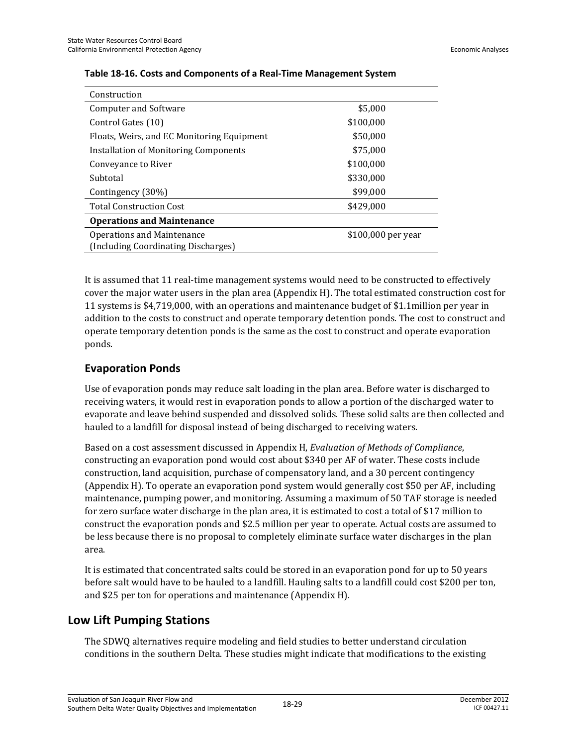| Construction                                                      |                    |
|-------------------------------------------------------------------|--------------------|
| <b>Computer and Software</b>                                      | \$5,000            |
| Control Gates (10)                                                | \$100,000          |
| Floats, Weirs, and EC Monitoring Equipment                        | \$50,000           |
| Installation of Monitoring Components                             | \$75,000           |
| Conveyance to River                                               | \$100,000          |
| Subtotal                                                          | \$330,000          |
| Contingency (30%)                                                 | \$99,000           |
| <b>Total Construction Cost</b>                                    | \$429,000          |
| <b>Operations and Maintenance</b>                                 |                    |
| Operations and Maintenance<br>(Including Coordinating Discharges) | \$100,000 per year |

#### **Table 18-16. Costs and Components of a Real-Time Management System**

It is assumed that 11 real-time management systems would need to be constructed to effectively cover the major water users in the plan area (Appendix H). The total estimated construction cost for 11 systems is \$4,719,000, with an operations and maintenance budget of \$1.1million per year in addition to the costs to construct and operate temporary detention ponds. The cost to construct and operate temporary detention ponds is the same as the cost to construct and operate evaporation ponds.

#### **Evaporation Ponds**

Use of evaporation ponds may reduce salt loading in the plan area. Before water is discharged to receiving waters, it would rest in evaporation ponds to allow a portion of the discharged water to evaporate and leave behind suspended and dissolved solids. These solid salts are then collected and hauled to a landfill for disposal instead of being discharged to receiving waters.

Based on a cost assessment discussed in Appendix H, *Evaluation of Methods of Compliance*, constructing an evaporation pond would cost about \$340 per AF of water. These costs include construction, land acquisition, purchase of compensatory land, and a 30 percent contingency (Appendix H). To operate an evaporation pond system would generally cost \$50 per AF, including maintenance, pumping power, and monitoring. Assuming a maximum of 50 TAF storage is needed for zero surface water discharge in the plan area, it is estimated to cost a total of \$17 million to construct the evaporation ponds and \$2.5 million per year to operate. Actual costs are assumed to be less because there is no proposal to completely eliminate surface water discharges in the plan area.

It is estimated that concentrated salts could be stored in an evaporation pond for up to 50 years before salt would have to be hauled to a landfill. Hauling salts to a landfill could cost \$200 per ton, and \$25 per ton for operations and maintenance (Appendix H).

## **Low Lift Pumping Stations**

The SDWQ alternatives require modeling and field studies to better understand circulation conditions in the southern Delta. These studies might indicate that modifications to the existing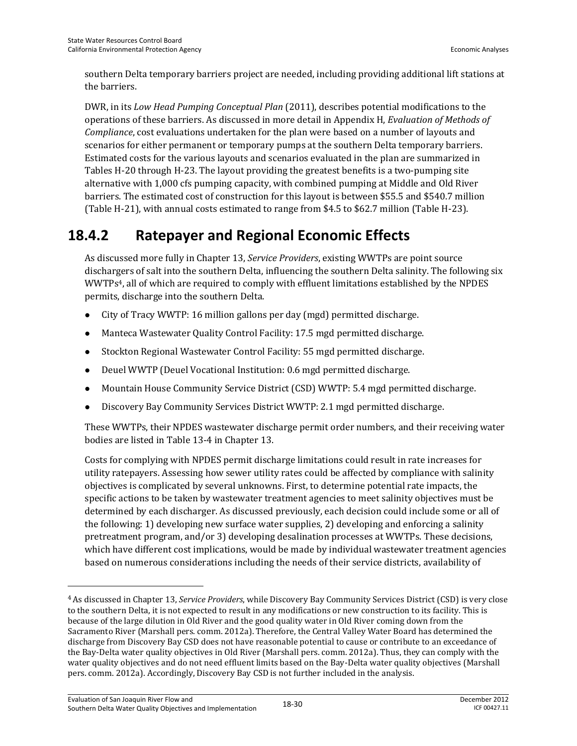southern Delta temporary barriers project are needed, including providing additional lift stations at the barriers.

DWR, in its *Low Head Pumping Conceptual Plan* (2011), describes potential modifications to the operations of these barriers. As discussed in more detail in Appendix H, *Evaluation of Methods of Compliance*, cost evaluations undertaken for the plan were based on a number of layouts and scenarios for either permanent or temporary pumps at the southern Delta temporary barriers. Estimated costs for the various layouts and scenarios evaluated in the plan are summarized in Tables H-20 through H-23. The layout providing the greatest benefits is a two-pumping site alternative with 1,000 cfs pumping capacity, with combined pumping at Middle and Old River barriers. The estimated cost of construction for this layout is between \$55.5 and \$540.7 million (Table H-21), with annual costs estimated to range from \$4.5 to \$62.7 million (Table H-23).

## **18.4.2 Ratepayer and Regional Economic Effects**

As discussed more fully in Chapter 13, *Service Providers*, existing WWTPs are point source dischargers of salt into the southern Delta, influencing the southern Delta salinity. The following six WWTPs4, all of which are required to comply with effluent limitations established by the NPDES permits, discharge into the southern Delta.

- City of Tracy WWTP: 16 million gallons per day (mgd) permitted discharge.
- Manteca Wastewater Quality Control Facility: 17.5 mgd permitted discharge.
- Stockton Regional Wastewater Control Facility: 55 mgd permitted discharge.
- Deuel WWTP (Deuel Vocational Institution: 0.6 mgd permitted discharge.
- Mountain House Community Service District (CSD) WWTP: 5.4 mgd permitted discharge.
- Discovery Bay Community Services District WWTP: 2.1 mgd permitted discharge.

These WWTPs, their NPDES wastewater discharge permit order numbers, and their receiving water bodies are listed in Table 13-4 in Chapter 13.

Costs for complying with NPDES permit discharge limitations could result in rate increases for utility ratepayers. Assessing how sewer utility rates could be affected by compliance with salinity objectives is complicated by several unknowns. First, to determine potential rate impacts, the specific actions to be taken by wastewater treatment agencies to meet salinity objectives must be determined by each discharger. As discussed previously, each decision could include some or all of the following: 1) developing new surface water supplies, 2) developing and enforcing a salinity pretreatment program, and/or 3) developing desalination processes at WWTPs. These decisions, which have different cost implications, would be made by individual wastewater treatment agencies based on numerous considerations including the needs of their service districts, availability of

l

<sup>4</sup> As discussed in Chapter 13, *Service Providers*, while Discovery Bay Community Services District (CSD) is very close to the southern Delta, it is not expected to result in any modifications or new construction to its facility. This is because of the large dilution in Old River and the good quality water in Old River coming down from the Sacramento River (Marshall pers. comm. 2012a). Therefore, the Central Valley Water Board has determined the discharge from Discovery Bay CSD does not have reasonable potential to cause or contribute to an exceedance of the Bay-Delta water quality objectives in Old River (Marshall pers. comm. 2012a). Thus, they can comply with the water quality objectives and do not need effluent limits based on the Bay-Delta water quality objectives (Marshall pers. comm. 2012a). Accordingly, Discovery Bay CSD is not further included in the analysis.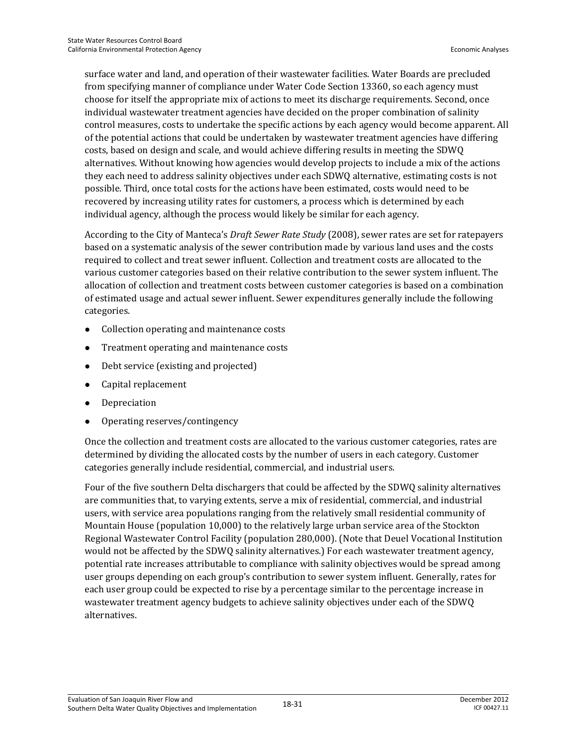surface water and land, and operation of their wastewater facilities. Water Boards are precluded from specifying manner of compliance under Water Code Section 13360, so each agency must choose for itself the appropriate mix of actions to meet its discharge requirements. Second, once individual wastewater treatment agencies have decided on the proper combination of salinity control measures, costs to undertake the specific actions by each agency would become apparent. All of the potential actions that could be undertaken by wastewater treatment agencies have differing costs, based on design and scale, and would achieve differing results in meeting the SDWQ alternatives. Without knowing how agencies would develop projects to include a mix of the actions they each need to address salinity objectives under each SDWQ alternative, estimating costs is not possible. Third, once total costs for the actions have been estimated, costs would need to be recovered by increasing utility rates for customers, a process which is determined by each individual agency, although the process would likely be similar for each agency.

According to the City of Manteca's *Draft Sewer Rate Study* (2008), sewer rates are set for ratepayers based on a systematic analysis of the sewer contribution made by various land uses and the costs required to collect and treat sewer influent. Collection and treatment costs are allocated to the various customer categories based on their relative contribution to the sewer system influent. The allocation of collection and treatment costs between customer categories is based on a combination of estimated usage and actual sewer influent. Sewer expenditures generally include the following categories.

- Collection operating and maintenance costs
- Treatment operating and maintenance costs
- Debt service (existing and projected)
- Capital replacement
- Depreciation
- Operating reserves/contingency

Once the collection and treatment costs are allocated to the various customer categories, rates are determined by dividing the allocated costs by the number of users in each category. Customer categories generally include residential, commercial, and industrial users.

Four of the five southern Delta dischargers that could be affected by the SDWQ salinity alternatives are communities that, to varying extents, serve a mix of residential, commercial, and industrial users, with service area populations ranging from the relatively small residential community of Mountain House (population 10,000) to the relatively large urban service area of the Stockton Regional Wastewater Control Facility (population 280,000). (Note that Deuel Vocational Institution would not be affected by the SDWQ salinity alternatives.) For each wastewater treatment agency, potential rate increases attributable to compliance with salinity objectives would be spread among user groups depending on each group's contribution to sewer system influent. Generally, rates for each user group could be expected to rise by a percentage similar to the percentage increase in wastewater treatment agency budgets to achieve salinity objectives under each of the SDWQ alternatives.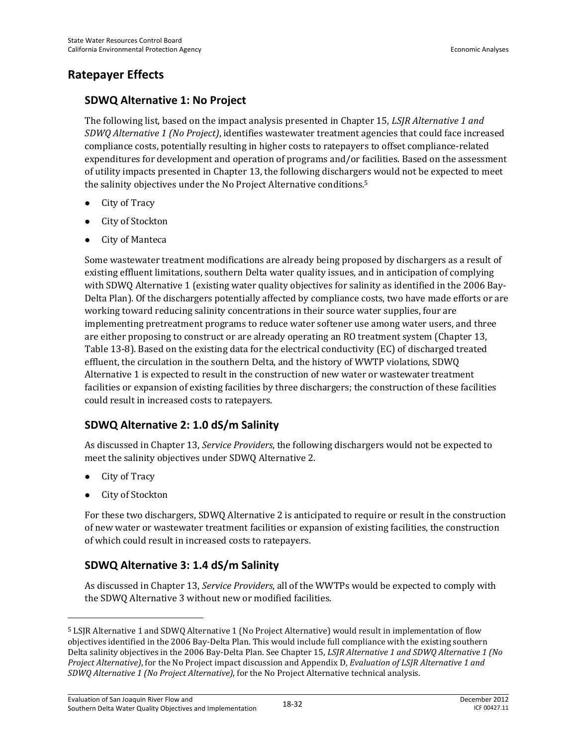#### **Ratepayer Effects**

#### **SDWQ Alternative 1: No Project**

The following list, based on the impact analysis presented in Chapter 15, *LSJR Alternative 1 and SDWQ Alternative 1 (No Project)*, identifies wastewater treatment agencies that could face increased compliance costs, potentially resulting in higher costs to ratepayers to offset compliance-related expenditures for development and operation of programs and/or facilities. Based on the assessment of utility impacts presented in Chapter 13, the following dischargers would not be expected to meet the salinity objectives under the No Project Alternative conditions.5

- City of Tracy
- City of Stockton
- City of Manteca

Some wastewater treatment modifications are already being proposed by dischargers as a result of existing effluent limitations, southern Delta water quality issues, and in anticipation of complying with SDWQ Alternative 1 (existing water quality objectives for salinity as identified in the 2006 Bay-Delta Plan). Of the dischargers potentially affected by compliance costs, two have made efforts or are working toward reducing salinity concentrations in their source water supplies, four are implementing pretreatment programs to reduce water softener use among water users, and three are either proposing to construct or are already operating an RO treatment system (Chapter 13, Table 13-8). Based on the existing data for the electrical conductivity (EC) of discharged treated effluent, the circulation in the southern Delta, and the history of WWTP violations, SDWQ Alternative 1 is expected to result in the construction of new water or wastewater treatment facilities or expansion of existing facilities by three dischargers; the construction of these facilities could result in increased costs to ratepayers.

#### **SDWQ Alternative 2: 1.0 dS/m Salinity**

As discussed in Chapter 13, *Service Providers*, the following dischargers would not be expected to meet the salinity objectives under SDWQ Alternative 2.

• City of Tracy

l

City of Stockton

For these two dischargers, SDWQ Alternative 2 is anticipated to require or result in the construction of new water or wastewater treatment facilities or expansion of existing facilities, the construction of which could result in increased costs to ratepayers.

#### **SDWQ Alternative 3: 1.4 dS/m Salinity**

As discussed in Chapter 13, *Service Providers*, all of the WWTPs would be expected to comply with the SDWQ Alternative 3 without new or modified facilities.

<sup>5</sup> LSJR Alternative 1 and SDWQ Alternative 1 (No Project Alternative) would result in implementation of flow objectives identified in the 2006 Bay-Delta Plan. This would include full compliance with the existing southern Delta salinity objectives in the 2006 Bay-Delta Plan. See Chapter 15, *LSJR Alternative 1 and SDWQ Alternative 1 (No Project Alternative)*, for the No Project impact discussion and Appendix D, *Evaluation of LSJR Alternative 1 and SDWQ Alternative 1 (No Project Alternative)*, for the No Project Alternative technical analysis.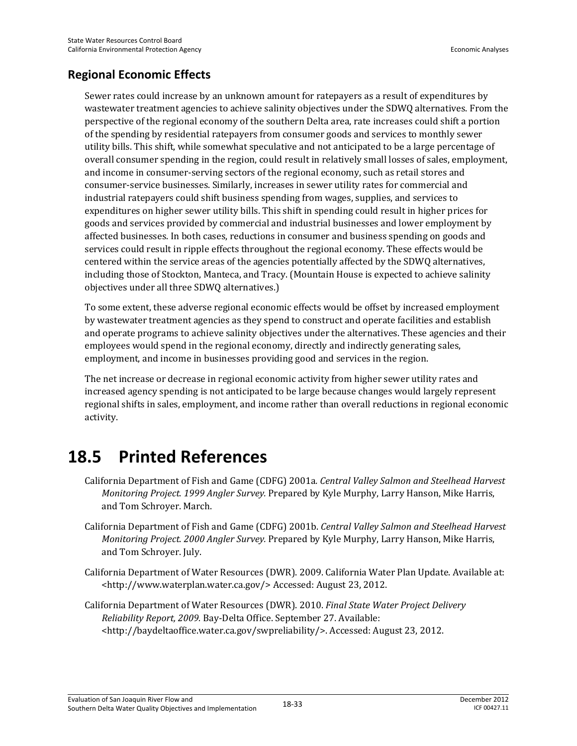## **Regional Economic Effects**

Sewer rates could increase by an unknown amount for ratepayers as a result of expenditures by wastewater treatment agencies to achieve salinity objectives under the SDWQ alternatives. From the perspective of the regional economy of the southern Delta area, rate increases could shift a portion of the spending by residential ratepayers from consumer goods and services to monthly sewer utility bills. This shift, while somewhat speculative and not anticipated to be a large percentage of overall consumer spending in the region, could result in relatively small losses of sales, employment, and income in consumer-serving sectors of the regional economy, such as retail stores and consumer-service businesses. Similarly, increases in sewer utility rates for commercial and industrial ratepayers could shift business spending from wages, supplies, and services to expenditures on higher sewer utility bills. This shift in spending could result in higher prices for goods and services provided by commercial and industrial businesses and lower employment by affected businesses. In both cases, reductions in consumer and business spending on goods and services could result in ripple effects throughout the regional economy. These effects would be centered within the service areas of the agencies potentially affected by the SDWQ alternatives, including those of Stockton, Manteca, and Tracy. (Mountain House is expected to achieve salinity objectives under all three SDWQ alternatives.)

To some extent, these adverse regional economic effects would be offset by increased employment by wastewater treatment agencies as they spend to construct and operate facilities and establish and operate programs to achieve salinity objectives under the alternatives. These agencies and their employees would spend in the regional economy, directly and indirectly generating sales, employment, and income in businesses providing good and services in the region.

The net increase or decrease in regional economic activity from higher sewer utility rates and increased agency spending is not anticipated to be large because changes would largely represent regional shifts in sales, employment, and income rather than overall reductions in regional economic activity.

# **18.5 Printed References**

- California Department of Fish and Game (CDFG) 2001a*. Central Valley Salmon and Steelhead Harvest Monitoring Project. 1999 Angler Survey.* Prepared by Kyle Murphy, Larry Hanson, Mike Harris, and Tom Schroyer. March.
- California Department of Fish and Game (CDFG) 2001b. *Central Valley Salmon and Steelhead Harvest Monitoring Project. 2000 Angler Survey.* Prepared by Kyle Murphy, Larry Hanson, Mike Harris, and Tom Schroyer. July.
- California Department of Water Resources (DWR). 2009. California Water Plan Update. Available at: <http://www.waterplan.water.ca.gov/> Accessed: August 23, 2012.
- California Department of Water Resources (DWR). 2010. *Final State Water Project Delivery Reliability Report, 2009.* Bay-Delta Office. September 27. Available: <http://baydeltaoffice.water.ca.gov/swpreliability/>. Accessed: August 23, 2012.